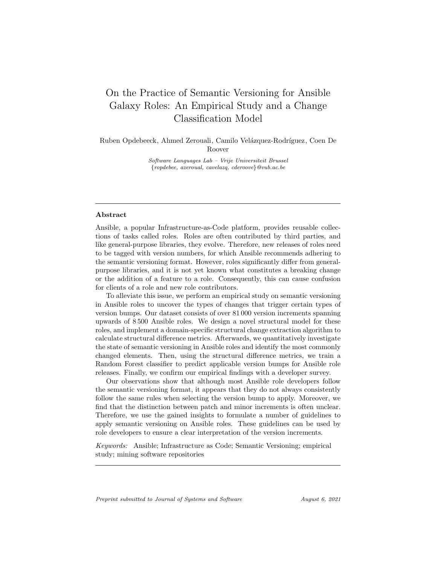# On the Practice of Semantic Versioning for Ansible Galaxy Roles: An Empirical Study and a Change Classification Model

Ruben Opdebeeck, Ahmed Zerouali, Camilo Velázquez-Rodríguez, Coen De Roover

> Software Languages Lab – Vrije Universiteit Brussel {ropdebee, azeroual, cavelazq, cderoove}@vub.ac.be

# Abstract

Ansible, a popular Infrastructure-as-Code platform, provides reusable collections of tasks called roles. Roles are often contributed by third parties, and like general-purpose libraries, they evolve. Therefore, new releases of roles need to be tagged with version numbers, for which Ansible recommends adhering to the semantic versioning format. However, roles significantly differ from generalpurpose libraries, and it is not yet known what constitutes a breaking change or the addition of a feature to a role. Consequently, this can cause confusion for clients of a role and new role contributors.

To alleviate this issue, we perform an empirical study on semantic versioning in Ansible roles to uncover the types of changes that trigger certain types of version bumps. Our dataset consists of over 81 000 version increments spanning upwards of 8 500 Ansible roles. We design a novel structural model for these roles, and implement a domain-specific structural change extraction algorithm to calculate structural difference metrics. Afterwards, we quantitatively investigate the state of semantic versioning in Ansible roles and identify the most commonly changed elements. Then, using the structural difference metrics, we train a Random Forest classifier to predict applicable version bumps for Ansible role releases. Finally, we confirm our empirical findings with a developer survey.

Our observations show that although most Ansible role developers follow the semantic versioning format, it appears that they do not always consistently follow the same rules when selecting the version bump to apply. Moreover, we find that the distinction between patch and minor increments is often unclear. Therefore, we use the gained insights to formulate a number of guidelines to apply semantic versioning on Ansible roles. These guidelines can be used by role developers to ensure a clear interpretation of the version increments.

Keywords: Ansible; Infrastructure as Code; Semantic Versioning; empirical study; mining software repositories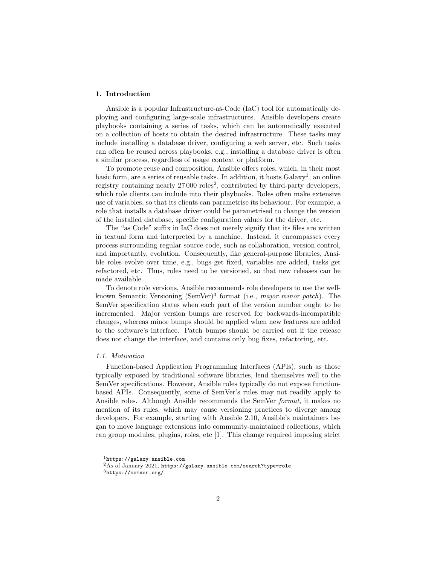# 1. Introduction

Ansible is a popular Infrastructure-as-Code (IaC) tool for automatically deploying and configuring large-scale infrastructures. Ansible developers create playbooks containing a series of tasks, which can be automatically executed on a collection of hosts to obtain the desired infrastructure. These tasks may include installing a database driver, configuring a web server, etc. Such tasks can often be reused across playbooks, e.g., installing a database driver is often a similar process, regardless of usage context or platform.

To promote reuse and composition, Ansible offers roles, which, in their most basic form, are a series of reusable tasks. In addition, it hosts  $Galaxy<sup>1</sup>$ , an online registry containing nearly  $27000$  roles<sup>2</sup>, contributed by third-party developers, which role clients can include into their playbooks. Roles often make extensive use of variables, so that its clients can parametrise its behaviour. For example, a role that installs a database driver could be parametrised to change the version of the installed database, specific configuration values for the driver, etc.

The "as Code" suffix in IaC does not merely signify that its files are written in textual form and interpreted by a machine. Instead, it encompasses every process surrounding regular source code, such as collaboration, version control, and importantly, evolution. Consequently, like general-purpose libraries, Ansible roles evolve over time, e.g., bugs get fixed, variables are added, tasks get refactored, etc. Thus, roles need to be versioned, so that new releases can be made available.

To denote role versions, Ansible recommends role developers to use the wellknown Semantic Versioning (SemVer)<sup>3</sup> format (i.e., major.minor.patch). The SemVer specification states when each part of the version number ought to be incremented. Major version bumps are reserved for backwards-incompatible changes, whereas minor bumps should be applied when new features are added to the software's interface. Patch bumps should be carried out if the release does not change the interface, and contains only bug fixes, refactoring, etc.

# 1.1. Motivation

Function-based Application Programming Interfaces (APIs), such as those typically exposed by traditional software libraries, lend themselves well to the SemVer specifications. However, Ansible roles typically do not expose functionbased APIs. Consequently, some of SemVer's rules may not readily apply to Ansible roles. Although Ansible recommends the SemVer format, it makes no mention of its rules, which may cause versioning practices to diverge among developers. For example, starting with Ansible 2.10, Ansible's maintainers began to move language extensions into community-maintained collections, which can group modules, plugins, roles, etc [1]. This change required imposing strict

<sup>1</sup>https://galaxy.ansible.com

 $2\text{As}$  of January 2021, https://galaxy.ansible.com/search?type=role

 $^3{\tt \small https://semver.org/}$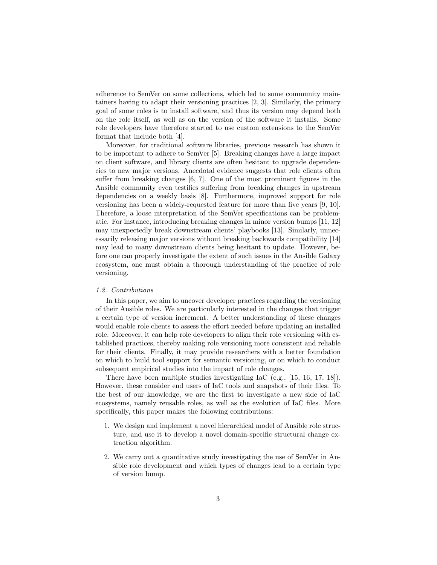adherence to SemVer on some collections, which led to some community maintainers having to adapt their versioning practices [2, 3]. Similarly, the primary goal of some roles is to install software, and thus its version may depend both on the role itself, as well as on the version of the software it installs. Some role developers have therefore started to use custom extensions to the SemVer format that include both [4].

Moreover, for traditional software libraries, previous research has shown it to be important to adhere to SemVer [5]. Breaking changes have a large impact on client software, and library clients are often hesitant to upgrade dependencies to new major versions. Anecdotal evidence suggests that role clients often suffer from breaking changes [6, 7]. One of the most prominent figures in the Ansible community even testifies suffering from breaking changes in upstream dependencies on a weekly basis [8]. Furthermore, improved support for role versioning has been a widely-requested feature for more than five years [9, 10]. Therefore, a loose interpretation of the SemVer specifications can be problematic. For instance, introducing breaking changes in minor version bumps [11, 12] may unexpectedly break downstream clients' playbooks [13]. Similarly, unnecessarily releasing major versions without breaking backwards compatibility [14] may lead to many downstream clients being hesitant to update. However, before one can properly investigate the extent of such issues in the Ansible Galaxy ecosystem, one must obtain a thorough understanding of the practice of role versioning.

# 1.2. Contributions

In this paper, we aim to uncover developer practices regarding the versioning of their Ansible roles. We are particularly interested in the changes that trigger a certain type of version increment. A better understanding of these changes would enable role clients to assess the effort needed before updating an installed role. Moreover, it can help role developers to align their role versioning with established practices, thereby making role versioning more consistent and reliable for their clients. Finally, it may provide researchers with a better foundation on which to build tool support for semantic versioning, or on which to conduct subsequent empirical studies into the impact of role changes.

There have been multiple studies investigating IaC (e.g., [15, 16, 17, 18]). However, these consider end users of IaC tools and snapshots of their files. To the best of our knowledge, we are the first to investigate a new side of IaC ecosystems, namely reusable roles, as well as the evolution of IaC files. More specifically, this paper makes the following contributions:

- 1. We design and implement a novel hierarchical model of Ansible role structure, and use it to develop a novel domain-specific structural change extraction algorithm.
- 2. We carry out a quantitative study investigating the use of SemVer in Ansible role development and which types of changes lead to a certain type of version bump.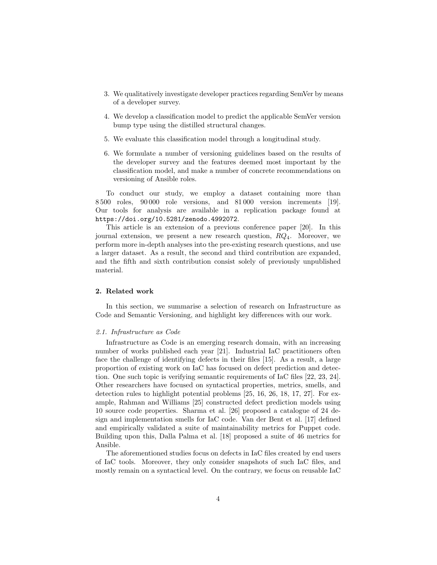- 3. We qualitatively investigate developer practices regarding SemVer by means of a developer survey.
- 4. We develop a classification model to predict the applicable SemVer version bump type using the distilled structural changes.
- 5. We evaluate this classification model through a longitudinal study.
- 6. We formulate a number of versioning guidelines based on the results of the developer survey and the features deemed most important by the classification model, and make a number of concrete recommendations on versioning of Ansible roles.

To conduct our study, we employ a dataset containing more than 8 500 roles, 90 000 role versions, and 81 000 version increments [19]. Our tools for analysis are available in a replication package found at https://doi.org/10.5281/zenodo.4992072.

This article is an extension of a previous conference paper [20]. In this journal extension, we present a new research question,  $RQ_4$ . Moreover, we perform more in-depth analyses into the pre-existing research questions, and use a larger dataset. As a result, the second and third contribution are expanded, and the fifth and sixth contribution consist solely of previously unpublished material.

# 2. Related work

In this section, we summarise a selection of research on Infrastructure as Code and Semantic Versioning, and highlight key differences with our work.

#### 2.1. Infrastructure as Code

Infrastructure as Code is an emerging research domain, with an increasing number of works published each year [21]. Industrial IaC practitioners often face the challenge of identifying defects in their files [15]. As a result, a large proportion of existing work on IaC has focused on defect prediction and detection. One such topic is verifying semantic requirements of IaC files [22, 23, 24]. Other researchers have focused on syntactical properties, metrics, smells, and detection rules to highlight potential problems [25, 16, 26, 18, 17, 27]. For example, Rahman and Williams [25] constructed defect prediction models using 10 source code properties. Sharma et al. [26] proposed a catalogue of 24 design and implementation smells for IaC code. Van der Bent et al. [17] defined and empirically validated a suite of maintainability metrics for Puppet code. Building upon this, Dalla Palma et al. [18] proposed a suite of 46 metrics for Ansible.

The aforementioned studies focus on defects in IaC files created by end users of IaC tools. Moreover, they only consider snapshots of such IaC files, and mostly remain on a syntactical level. On the contrary, we focus on reusable IaC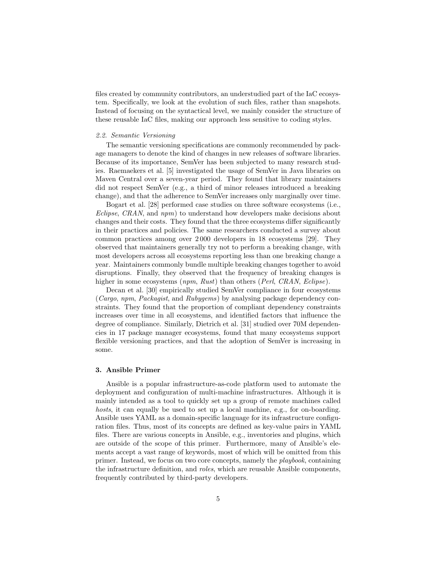files created by community contributors, an understudied part of the IaC ecosystem. Specifically, we look at the evolution of such files, rather than snapshots. Instead of focusing on the syntactical level, we mainly consider the structure of these reusable IaC files, making our approach less sensitive to coding styles.

### 2.2. Semantic Versioning

The semantic versioning specifications are commonly recommended by package managers to denote the kind of changes in new releases of software libraries. Because of its importance, SemVer has been subjected to many research studies. Raemaekers et al. [5] investigated the usage of SemVer in Java libraries on Maven Central over a seven-year period. They found that library maintainers did not respect SemVer (e.g., a third of minor releases introduced a breaking change), and that the adherence to SemVer increases only marginally over time.

Bogart et al. [28] performed case studies on three software ecosystems (i.e., Eclipse, CRAN, and npm) to understand how developers make decisions about changes and their costs. They found that the three ecosystems differ significantly in their practices and policies. The same researchers conducted a survey about common practices among over 2 000 developers in 18 ecosystems [29]. They observed that maintainers generally try not to perform a breaking change, with most developers across all ecosystems reporting less than one breaking change a year. Maintainers commonly bundle multiple breaking changes together to avoid disruptions. Finally, they observed that the frequency of breaking changes is higher in some ecosystems (*npm, Rust*) than others (*Perl, CRAN, Eclipse*).

Decan et al. [30] empirically studied SemVer compliance in four ecosystems (Cargo, npm, Packagist, and Rubygems) by analysing package dependency constraints. They found that the proportion of compliant dependency constraints increases over time in all ecosystems, and identified factors that influence the degree of compliance. Similarly, Dietrich et al. [31] studied over 70M dependencies in 17 package manager ecosystems, found that many ecosystems support flexible versioning practices, and that the adoption of SemVer is increasing in some.

# 3. Ansible Primer

Ansible is a popular infrastructure-as-code platform used to automate the deployment and configuration of multi-machine infrastructures. Although it is mainly intended as a tool to quickly set up a group of remote machines called hosts, it can equally be used to set up a local machine, e.g., for on-boarding. Ansible uses YAML as a domain-specific language for its infrastructure configuration files. Thus, most of its concepts are defined as key-value pairs in YAML files. There are various concepts in Ansible, e.g., inventories and plugins, which are outside of the scope of this primer. Furthermore, many of Ansible's elements accept a vast range of keywords, most of which will be omitted from this primer. Instead, we focus on two core concepts, namely the playbook, containing the infrastructure definition, and roles, which are reusable Ansible components, frequently contributed by third-party developers.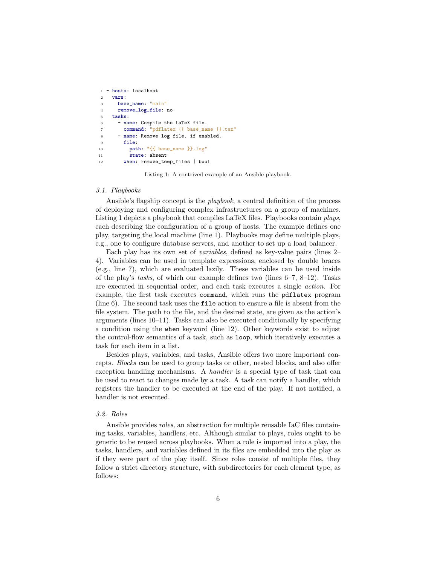```
1 - hosts: localhost
2 vars:
3 base_name: "main"
4 remove_log_file: no
5 tasks:
6 - name: Compile the LaTeX file.
       command: "pdflatex {{ base_name }}.tex"
8 - name: Remove log file, if enabled.
9 file:
10 path: "{{ base_name }}.log"
11 state: absent
12 when: remove_temp_files | bool
```
Listing 1: A contrived example of an Ansible playbook.

# 3.1. Playbooks

Ansible's flagship concept is the *playbook*, a central definition of the process of deploying and configuring complex infrastructures on a group of machines. Listing 1 depicts a playbook that compiles LaTeX files. Playbooks contain plays, each describing the configuration of a group of hosts. The example defines one play, targeting the local machine (line 1). Playbooks may define multiple plays, e.g., one to configure database servers, and another to set up a load balancer.

Each play has its own set of variables, defined as key-value pairs (lines 2– 4). Variables can be used in template expressions, enclosed by double braces (e.g., line 7), which are evaluated lazily. These variables can be used inside of the play's tasks, of which our example defines two (lines  $6-7$ ,  $8-12$ ). Tasks are executed in sequential order, and each task executes a single action. For example, the first task executes command, which runs the pdflatex program (line 6). The second task uses the file action to ensure a file is absent from the file system. The path to the file, and the desired state, are given as the action's arguments (lines 10–11). Tasks can also be executed conditionally by specifying a condition using the when keyword (line 12). Other keywords exist to adjust the control-flow semantics of a task, such as loop, which iteratively executes a task for each item in a list.

Besides plays, variables, and tasks, Ansible offers two more important concepts. Blocks can be used to group tasks or other, nested blocks, and also offer exception handling mechanisms. A handler is a special type of task that can be used to react to changes made by a task. A task can notify a handler, which registers the handler to be executed at the end of the play. If not notified, a handler is not executed.

### 3.2. Roles

Ansible provides roles, an abstraction for multiple reusable IaC files containing tasks, variables, handlers, etc. Although similar to plays, roles ought to be generic to be reused across playbooks. When a role is imported into a play, the tasks, handlers, and variables defined in its files are embedded into the play as if they were part of the play itself. Since roles consist of multiple files, they follow a strict directory structure, with subdirectories for each element type, as follows: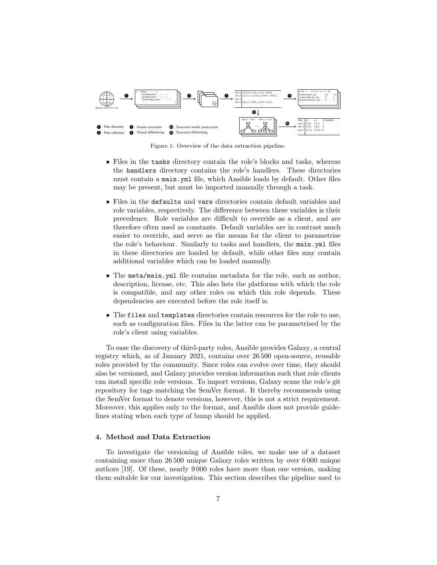

Figure 1: Overview of the data extraction pipeline.

- Files in the tasks directory contain the role's blocks and tasks, whereas the handlers directory contains the role's handlers. These directories must contain a main.yml file, which Ansible loads by default. Other files may be present, but must be imported manually through a task.
- Files in the defaults and vars directories contain default variables and role variables, respectively. The difference between these variables is their precedence. Role variables are difficult to override as a client, and are therefore often used as constants. Default variables are in contrast much easier to override, and serve as the means for the client to parametrise the role's behaviour. Similarly to tasks and handlers, the main.yml files in these directories are loaded by default, while other files may contain additional variables which can be loaded manually.
- The meta/main.yml file contains metadata for the role, such as author, description, license, etc. This also lists the platforms with which the role is compatible, and any other roles on which this role depends. These dependencies are executed before the role itself is.
- The files and templates directories contain resources for the role to use, such as configuration files. Files in the latter can be parametrised by the role's client using variables.

To ease the discovery of third-party roles, Ansible provides Galaxy, a central registry which, as of January 2021, contains over 26 500 open-source, reusable roles provided by the community. Since roles can evolve over time, they should also be versioned, and Galaxy provides version information such that role clients can install specific role versions. To import versions, Galaxy scans the role's git repository for tags matching the SemVer format. It thereby recommends using the SemVer format to denote versions, however, this is not a strict requirement. Moreover, this applies only to the format, and Ansible does not provide guidelines stating when each type of bump should be applied.

# 4. Method and Data Extraction

To investigate the versioning of Ansible roles, we make use of a dataset containing more than 26 500 unique Galaxy roles written by over 6 000 unique authors [19]. Of these, nearly 9 000 roles have more than one version, making them suitable for our investigation. This section describes the pipeline used to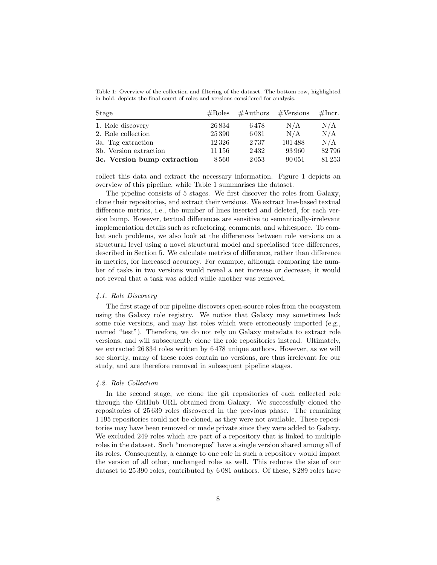Table 1: Overview of the collection and filtering of the dataset. The bottom row, highlighted in bold, depicts the final count of roles and versions considered for analysis.

| Stage                       | $\#\text{Roles}$ |      | $\#\text{Authors}$ $\#\text{Versions}$ | #Incr. |
|-----------------------------|------------------|------|----------------------------------------|--------|
| 1. Role discovery           | 26834            | 6478 | N/A                                    | N/A    |
| 2. Role collection          | 25 390           | 6081 | N/A                                    | N/A    |
| 3a. Tag extraction          | 12326            | 2737 | 101488                                 | N/A    |
| 3b. Version extraction      | 11 156           | 2432 | 93960                                  | 82796  |
| 3c. Version bump extraction | 8560             | 2053 | 90 051                                 | 81253  |

collect this data and extract the necessary information. Figure 1 depicts an overview of this pipeline, while Table 1 summarises the dataset.

The pipeline consists of 5 stages. We first discover the roles from Galaxy, clone their repositories, and extract their versions. We extract line-based textual difference metrics, i.e., the number of lines inserted and deleted, for each version bump. However, textual differences are sensitive to semantically-irrelevant implementation details such as refactoring, comments, and whitespace. To combat such problems, we also look at the differences between role versions on a structural level using a novel structural model and specialised tree differences, described in Section 5. We calculate metrics of difference, rather than difference in metrics, for increased accuracy. For example, although comparing the number of tasks in two versions would reveal a net increase or decrease, it would not reveal that a task was added while another was removed.

# 4.1. Role Discovery

The first stage of our pipeline discovers open-source roles from the ecosystem using the Galaxy role registry. We notice that Galaxy may sometimes lack some role versions, and may list roles which were erroneously imported (e.g., named "test"). Therefore, we do not rely on Galaxy metadata to extract role versions, and will subsequently clone the role repositories instead. Ultimately, we extracted 26 834 roles written by 6 478 unique authors. However, as we will see shortly, many of these roles contain no versions, are thus irrelevant for our study, and are therefore removed in subsequent pipeline stages.

# 4.2. Role Collection

In the second stage, we clone the git repositories of each collected role through the GitHub URL obtained from Galaxy. We successfully cloned the repositories of 25 639 roles discovered in the previous phase. The remaining 1 195 repositories could not be cloned, as they were not available. These repositories may have been removed or made private since they were added to Galaxy. We excluded 249 roles which are part of a repository that is linked to multiple roles in the dataset. Such "monorepos" have a single version shared among all of its roles. Consequently, a change to one role in such a repository would impact the version of all other, unchanged roles as well. This reduces the size of our dataset to 25 390 roles, contributed by 6 081 authors. Of these, 8 289 roles have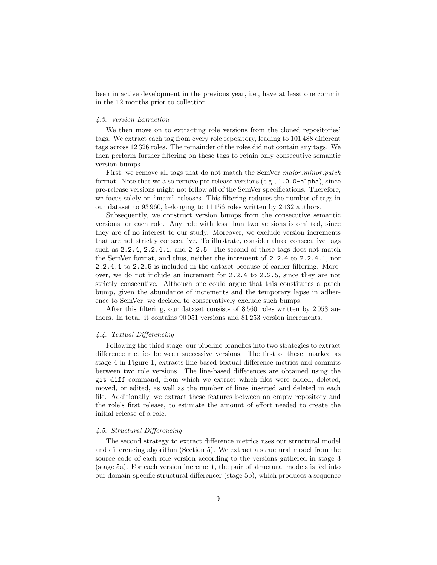been in active development in the previous year, i.e., have at least one commit in the 12 months prior to collection.

### 4.3. Version Extraction

We then move on to extracting role versions from the cloned repositories' tags. We extract each tag from every role repository, leading to 101 488 different tags across 12 326 roles. The remainder of the roles did not contain any tags. We then perform further filtering on these tags to retain only consecutive semantic version bumps.

First, we remove all tags that do not match the SemVer major.minor.patch format. Note that we also remove pre-release versions (e.g., 1.0.0-alpha), since pre-release versions might not follow all of the SemVer specifications. Therefore, we focus solely on "main" releases. This filtering reduces the number of tags in our dataset to 93 960, belonging to 11 156 roles written by 2 432 authors.

Subsequently, we construct version bumps from the consecutive semantic versions for each role. Any role with less than two versions is omitted, since they are of no interest to our study. Moreover, we exclude version increments that are not strictly consecutive. To illustrate, consider three consecutive tags such as 2.2.4, 2.2.4.1, and 2.2.5. The second of these tags does not match the SemVer format, and thus, neither the increment of 2.2.4 to 2.2.4.1, nor 2.2.4.1 to 2.2.5 is included in the dataset because of earlier filtering. Moreover, we do not include an increment for 2.2.4 to 2.2.5, since they are not strictly consecutive. Although one could argue that this constitutes a patch bump, given the abundance of increments and the temporary lapse in adherence to SemVer, we decided to conservatively exclude such bumps.

After this filtering, our dataset consists of 8 560 roles written by 2 053 authors. In total, it contains 90 051 versions and 81 253 version increments.

### 4.4. Textual Differencing

Following the third stage, our pipeline branches into two strategies to extract difference metrics between successive versions. The first of these, marked as stage 4 in Figure 1, extracts line-based textual difference metrics and commits between two role versions. The line-based differences are obtained using the git diff command, from which we extract which files were added, deleted, moved, or edited, as well as the number of lines inserted and deleted in each file. Additionally, we extract these features between an empty repository and the role's first release, to estimate the amount of effort needed to create the initial release of a role.

# 4.5. Structural Differencing

The second strategy to extract difference metrics uses our structural model and differencing algorithm (Section 5). We extract a structural model from the source code of each role version according to the versions gathered in stage 3 (stage 5a). For each version increment, the pair of structural models is fed into our domain-specific structural differencer (stage 5b), which produces a sequence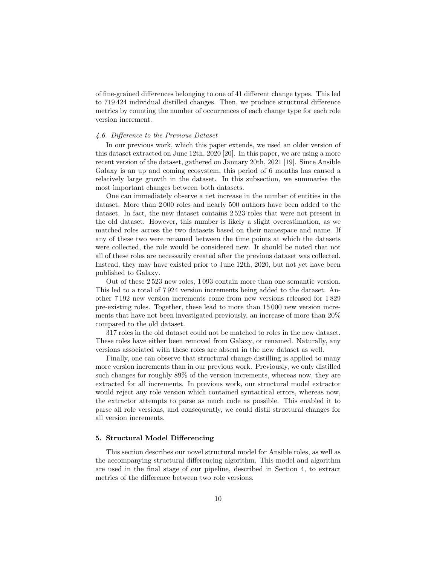of fine-grained differences belonging to one of 41 different change types. This led to 719 424 individual distilled changes. Then, we produce structural difference metrics by counting the number of occurrences of each change type for each role version increment.

### 4.6. Difference to the Previous Dataset

In our previous work, which this paper extends, we used an older version of this dataset extracted on June 12th, 2020 [20]. In this paper, we are using a more recent version of the dataset, gathered on January 20th, 2021 [19]. Since Ansible Galaxy is an up and coming ecosystem, this period of 6 months has caused a relatively large growth in the dataset. In this subsection, we summarise the most important changes between both datasets.

One can immediately observe a net increase in the number of entities in the dataset. More than 2 000 roles and nearly 500 authors have been added to the dataset. In fact, the new dataset contains 2 523 roles that were not present in the old dataset. However, this number is likely a slight overestimation, as we matched roles across the two datasets based on their namespace and name. If any of these two were renamed between the time points at which the datasets were collected, the role would be considered new. It should be noted that not all of these roles are necessarily created after the previous dataset was collected. Instead, they may have existed prior to June 12th, 2020, but not yet have been published to Galaxy.

Out of these 2 523 new roles, 1 093 contain more than one semantic version. This led to a total of 7 924 version increments being added to the dataset. Another 7 192 new version increments come from new versions released for 1 829 pre-existing roles. Together, these lead to more than 15 000 new version increments that have not been investigated previously, an increase of more than 20% compared to the old dataset.

317 roles in the old dataset could not be matched to roles in the new dataset. These roles have either been removed from Galaxy, or renamed. Naturally, any versions associated with these roles are absent in the new dataset as well.

Finally, one can observe that structural change distilling is applied to many more version increments than in our previous work. Previously, we only distilled such changes for roughly 89% of the version increments, whereas now, they are extracted for all increments. In previous work, our structural model extractor would reject any role version which contained syntactical errors, whereas now, the extractor attempts to parse as much code as possible. This enabled it to parse all role versions, and consequently, we could distil structural changes for all version increments.

### 5. Structural Model Differencing

This section describes our novel structural model for Ansible roles, as well as the accompanying structural differencing algorithm. This model and algorithm are used in the final stage of our pipeline, described in Section 4, to extract metrics of the difference between two role versions.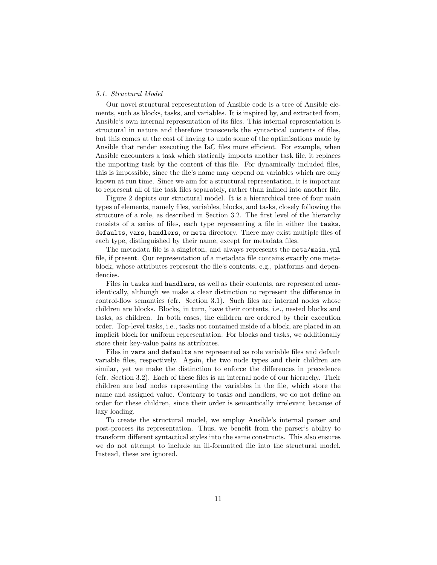# 5.1. Structural Model

Our novel structural representation of Ansible code is a tree of Ansible elements, such as blocks, tasks, and variables. It is inspired by, and extracted from, Ansible's own internal representation of its files. This internal representation is structural in nature and therefore transcends the syntactical contents of files, but this comes at the cost of having to undo some of the optimisations made by Ansible that render executing the IaC files more efficient. For example, when Ansible encounters a task which statically imports another task file, it replaces the importing task by the content of this file. For dynamically included files, this is impossible, since the file's name may depend on variables which are only known at run time. Since we aim for a structural representation, it is important to represent all of the task files separately, rather than inlined into another file.

Figure 2 depicts our structural model. It is a hierarchical tree of four main types of elements, namely files, variables, blocks, and tasks, closely following the structure of a role, as described in Section 3.2. The first level of the hierarchy consists of a series of files, each type representing a file in either the tasks, defaults, vars, handlers, or meta directory. There may exist multiple files of each type, distinguished by their name, except for metadata files.

The metadata file is a singleton, and always represents the meta/main.yml file, if present. Our representation of a metadata file contains exactly one metablock, whose attributes represent the file's contents, e.g., platforms and dependencies.

Files in tasks and handlers, as well as their contents, are represented nearidentically, although we make a clear distinction to represent the difference in control-flow semantics (cfr. Section 3.1). Such files are internal nodes whose children are blocks. Blocks, in turn, have their contents, i.e., nested blocks and tasks, as children. In both cases, the children are ordered by their execution order. Top-level tasks, i.e., tasks not contained inside of a block, are placed in an implicit block for uniform representation. For blocks and tasks, we additionally store their key-value pairs as attributes.

Files in vars and defaults are represented as role variable files and default variable files, respectively. Again, the two node types and their children are similar, yet we make the distinction to enforce the differences in precedence (cfr. Section 3.2). Each of these files is an internal node of our hierarchy. Their children are leaf nodes representing the variables in the file, which store the name and assigned value. Contrary to tasks and handlers, we do not define an order for these children, since their order is semantically irrelevant because of lazy loading.

To create the structural model, we employ Ansible's internal parser and post-process its representation. Thus, we benefit from the parser's ability to transform different syntactical styles into the same constructs. This also ensures we do not attempt to include an ill-formatted file into the structural model. Instead, these are ignored.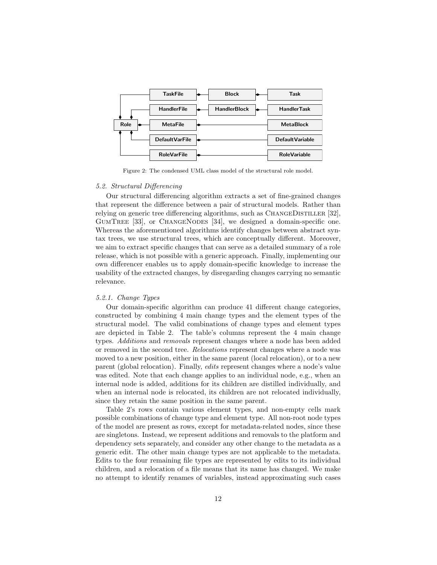

Figure 2: The condensed UML class model of the structural role model.

### 5.2. Structural Differencing

Our structural differencing algorithm extracts a set of fine-grained changes that represent the difference between a pair of structural models. Rather than relying on generic tree differencing algorithms, such as CHANGEDISTILLER [32], GUMTREE [33], or CHANGENODES [34], we designed a domain-specific one. Whereas the aforementioned algorithms identify changes between abstract syntax trees, we use structural trees, which are conceptually different. Moreover, we aim to extract specific changes that can serve as a detailed summary of a role release, which is not possible with a generic approach. Finally, implementing our own differencer enables us to apply domain-specific knowledge to increase the usability of the extracted changes, by disregarding changes carrying no semantic relevance.

# 5.2.1. Change Types

Our domain-specific algorithm can produce 41 different change categories, constructed by combining 4 main change types and the element types of the structural model. The valid combinations of change types and element types are depicted in Table 2. The table's columns represent the 4 main change types. Additions and removals represent changes where a node has been added or removed in the second tree. Relocations represent changes where a node was moved to a new position, either in the same parent (local relocation), or to a new parent (global relocation). Finally, edits represent changes where a node's value was edited. Note that each change applies to an individual node, e.g., when an internal node is added, additions for its children are distilled individually, and when an internal node is relocated, its children are not relocated individually, since they retain the same position in the same parent.

Table 2's rows contain various element types, and non-empty cells mark possible combinations of change type and element type. All non-root node types of the model are present as rows, except for metadata-related nodes, since these are singletons. Instead, we represent additions and removals to the platform and dependency sets separately, and consider any other change to the metadata as a generic edit. The other main change types are not applicable to the metadata. Edits to the four remaining file types are represented by edits to its individual children, and a relocation of a file means that its name has changed. We make no attempt to identify renames of variables, instead approximating such cases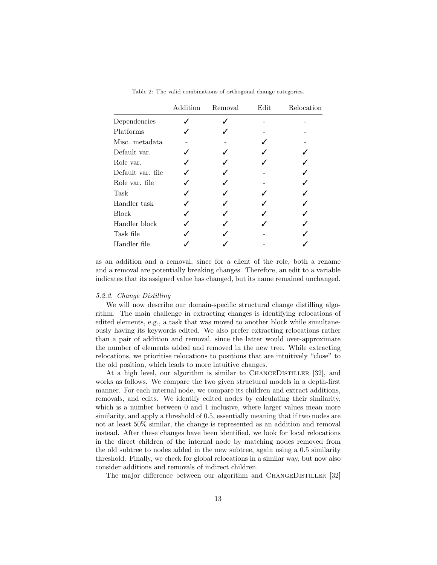|                   | Addition | Removal | Edit | Relocation |
|-------------------|----------|---------|------|------------|
| Dependencies      |          |         |      |            |
| Platforms         |          |         |      |            |
| Misc. metadata    |          |         |      |            |
| Default var.      |          |         |      |            |
| Role var.         |          |         |      |            |
| Default var. file |          |         |      |            |
| Role var. file    |          |         |      |            |
| Task              |          |         |      |            |
| Handler task      |          |         |      |            |
| <b>Block</b>      |          |         |      |            |
| Handler block     |          |         |      |            |
| Task file         |          |         |      |            |
| Handler file      |          |         |      |            |

Table 2: The valid combinations of orthogonal change categories.

as an addition and a removal, since for a client of the role, both a rename and a removal are potentially breaking changes. Therefore, an edit to a variable indicates that its assigned value has changed, but its name remained unchanged.

#### 5.2.2. Change Distilling

We will now describe our domain-specific structural change distilling algorithm. The main challenge in extracting changes is identifying relocations of edited elements, e.g., a task that was moved to another block while simultaneously having its keywords edited. We also prefer extracting relocations rather than a pair of addition and removal, since the latter would over-approximate the number of elements added and removed in the new tree. While extracting relocations, we prioritise relocations to positions that are intuitively "close" to the old position, which leads to more intuitive changes.

At a high level, our algorithm is similar to CHANGEDISTILLER [32], and works as follows. We compare the two given structural models in a depth-first manner. For each internal node, we compare its children and extract additions, removals, and edits. We identify edited nodes by calculating their similarity, which is a number between 0 and 1 inclusive, where larger values mean more similarity, and apply a threshold of 0.5, essentially meaning that if two nodes are not at least 50% similar, the change is represented as an addition and removal instead. After these changes have been identified, we look for local relocations in the direct children of the internal node by matching nodes removed from the old subtree to nodes added in the new subtree, again using a 0.5 similarity threshold. Finally, we check for global relocations in a similar way, but now also consider additions and removals of indirect children.

The major difference between our algorithm and CHANGEDISTILLER [32]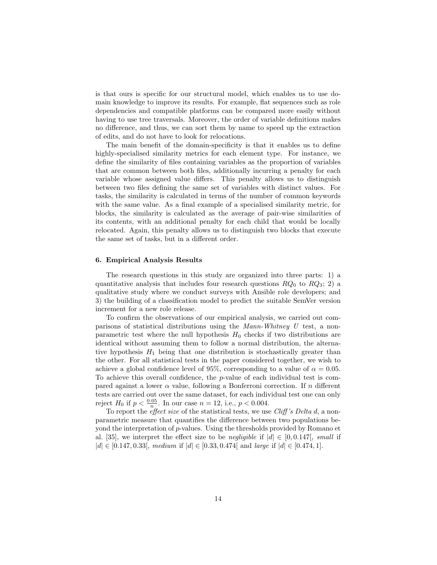is that ours is specific for our structural model, which enables us to use domain knowledge to improve its results. For example, flat sequences such as role dependencies and compatible platforms can be compared more easily without having to use tree traversals. Moreover, the order of variable definitions makes no difference, and thus, we can sort them by name to speed up the extraction of edits, and do not have to look for relocations.

The main benefit of the domain-specificity is that it enables us to define highly-specialised similarity metrics for each element type. For instance, we define the similarity of files containing variables as the proportion of variables that are common between both files, additionally incurring a penalty for each variable whose assigned value differs. This penalty allows us to distinguish between two files defining the same set of variables with distinct values. For tasks, the similarity is calculated in terms of the number of common keywords with the same value. As a final example of a specialised similarity metric, for blocks, the similarity is calculated as the average of pair-wise similarities of its contents, with an additional penalty for each child that would be locally relocated. Again, this penalty allows us to distinguish two blocks that execute the same set of tasks, but in a different order.

# 6. Empirical Analysis Results

The research questions in this study are organized into three parts: 1) a quantitative analysis that includes four research questions  $RQ_0$  to  $RQ_3$ ; 2) a qualitative study where we conduct surveys with Ansible role developers; and 3) the building of a classification model to predict the suitable SemVer version increment for a new role release.

To confirm the observations of our empirical analysis, we carried out comparisons of statistical distributions using the Mann-Whitney U test, a nonparametric test where the null hypothesis  $H_0$  checks if two distributions are identical without assuming them to follow a normal distribution, the alternative hypothesis  $H_1$  being that one distribution is stochastically greater than the other. For all statistical tests in the paper considered together, we wish to achieve a global confidence level of 95%, corresponding to a value of  $\alpha = 0.05$ . To achieve this overall confidence, the  $p$ -value of each individual test is compared against a lower  $\alpha$  value, following a Bonferroni correction. If n different tests are carried out over the same dataset, for each individual test one can only reject  $H_0$  if  $p < \frac{0.05}{n}$ . In our case  $n = 12$ , i.e.,  $p < 0.004$ .

To report the *effect size* of the statistical tests, we use *Cliff's Delta d*, a nonparametric measure that quantifies the difference between two populations beyond the interpretation of p-values. Using the thresholds provided by Romano et al. [35], we interpret the effect size to be *negligible* if  $|d| \in [0, 0.147]$ , *small* if  $|d| \in [0.147, 0.33],$  medium if  $|d| \in [0.33, 0.474]$  and large if  $|d| \in [0.474, 1].$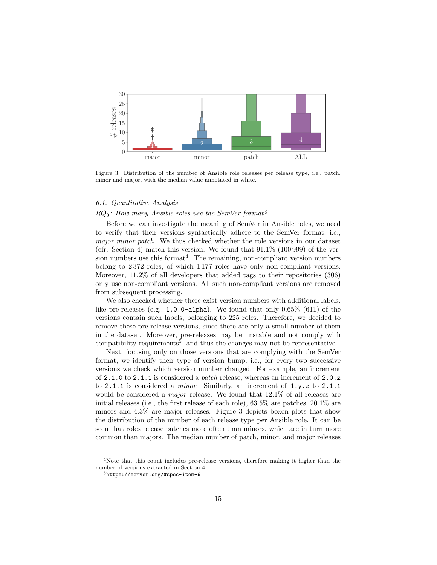

Figure 3: Distribution of the number of Ansible role releases per release type, i.e., patch, minor and major, with the median value annotated in white.

### 6.1. Quantitative Analysis

# $RQ_0$ : How many Ansible roles use the SemVer format?

Before we can investigate the meaning of SemVer in Ansible roles, we need to verify that their versions syntactically adhere to the SemVer format, i.e., major.*minor.patch*. We thus checked whether the role versions in our dataset (cfr. Section 4) match this version. We found that  $91.1\%$  (100 999) of the version numbers use this format<sup>4</sup>. The remaining, non-compliant version numbers belong to 2 372 roles, of which 1 177 roles have only non-compliant versions. Moreover, 11.2% of all developers that added tags to their repositories (306) only use non-compliant versions. All such non-compliant versions are removed from subsequent processing.

We also checked whether there exist version numbers with additional labels, like pre-releases (e.g., 1.0.0-alpha). We found that only 0.65% (611) of the versions contain such labels, belonging to 225 roles. Therefore, we decided to remove these pre-release versions, since there are only a small number of them in the dataset. Moreover, pre-releases may be unstable and not comply with  $\alpha$  compatibility requirements<sup>5</sup>, and thus the changes may not be representative.

Next, focusing only on those versions that are complying with the SemVer format, we identify their type of version bump, i.e., for every two successive versions we check which version number changed. For example, an increment of 2.1.0 to 2.1.1 is considered a patch release, whereas an increment of 2.0.z to 2.1.1 is considered a minor. Similarly, an increment of 1.y.z to 2.1.1 would be considered a *major* release. We found that  $12.1\%$  of all releases are initial releases (i.e., the first release of each role), 63.5% are patches, 20.1% are minors and 4.3% are major releases. Figure 3 depicts boxen plots that show the distribution of the number of each release type per Ansible role. It can be seen that roles release patches more often than minors, which are in turn more common than majors. The median number of patch, minor, and major releases

<sup>4</sup>Note that this count includes pre-release versions, therefore making it higher than the number of versions extracted in Section 4.

<sup>5</sup>https://semver.org/#spec-item-9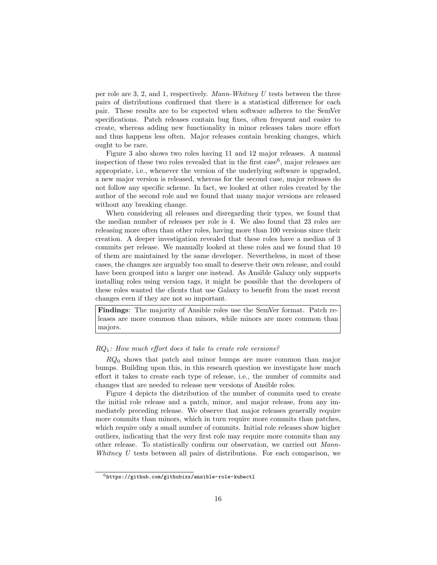per role are 3, 2, and 1, respectively. Mann-Whitney U tests between the three pairs of distributions confirmed that there is a statistical difference for each pair. These results are to be expected when software adheres to the SemVer specifications. Patch releases contain bug fixes, often frequent and easier to create, whereas adding new functionality in minor releases takes more effort and thus happens less often. Major releases contain breaking changes, which ought to be rare.

Figure 3 also shows two roles having 11 and 12 major releases. A manual inspection of these two roles revealed that in the first  $case<sup>6</sup>$ , major releases are appropriate, i.e., whenever the version of the underlying software is upgraded, a new major version is released, whereas for the second case, major releases do not follow any specific scheme. In fact, we looked at other roles created by the author of the second role and we found that many major versions are released without any breaking change.

When considering all releases and disregarding their types, we found that the median number of releases per role is 4. We also found that 23 roles are releasing more often than other roles, having more than 100 versions since their creation. A deeper investigation revealed that these roles have a median of 3 commits per release. We manually looked at these roles and we found that 10 of them are maintained by the same developer. Nevertheless, in most of these cases, the changes are arguably too small to deserve their own release, and could have been grouped into a larger one instead. As Ansible Galaxy only supports installing roles using version tags, it might be possible that the developers of these roles wanted the clients that use Galaxy to benefit from the most recent changes even if they are not so important.

Findings: The majority of Ansible roles use the SemVer format. Patch releases are more common than minors, while minors are more common than majors.

# $RQ_1$ : How much effort does it take to create role versions?

 $RQ_0$  shows that patch and minor bumps are more common than major bumps. Building upon this, in this research question we investigate how much effort it takes to create each type of release, i.e., the number of commits and changes that are needed to release new versions of Ansible roles.

Figure 4 depicts the distribution of the number of commits used to create the initial role release and a patch, minor, and major release, from any immediately preceding release. We observe that major releases generally require more commits than minors, which in turn require more commits than patches, which require only a small number of commits. Initial role releases show higher outliers, indicating that the very first role may require more commits than any other release. To statistically confirm our observation, we carried out Mann-Whitney  $U$  tests between all pairs of distributions. For each comparison, we

 $6$ https://github.com/githubixx/ansible-role-kubectl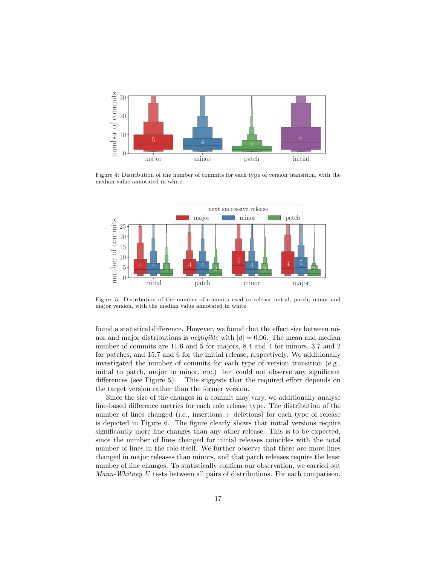

Figure 4: Distribution of the number of commits for each type of version transition, with the median value annotated in white.



Figure 5: Distribution of the number of commits used to release initial, patch, minor and major version, with the median value annotated in white.

found a statistical difference. However, we found that the effect size between minor and major distributions is *negligible* with  $|d| = 0.06$ . The mean and median number of commits are 11.6 and 5 for majors, 8.4 and 4 for minors, 3.7 and 2 for patches, and 15.7 and 6 for the initial release, respectively. We additionally investigated the number of commits for each type of version transition (e.g., initial to patch, major to minor, etc.) but could not observe any significant differences (see Figure 5). This suggests that the required effort depends on the target version rather than the former version.

Since the size of the changes in a commit may vary, we additionally analyse line-based difference metrics for each role release type. The distribution of the number of lines changed (i.e., insertions + deletions) for each type of release is depicted in Figure 6. The figure clearly shows that initial versions require significantly more line changes than any other release. This is to be expected, since the number of lines changed for initial releases coincides with the total number of lines in the role itself. We further observe that there are more lines changed in major releases than minors, and that patch releases require the least number of line changes. To statistically confirm our observation, we carried out Mann-Whitney U tests between all pairs of distributions. For each comparison,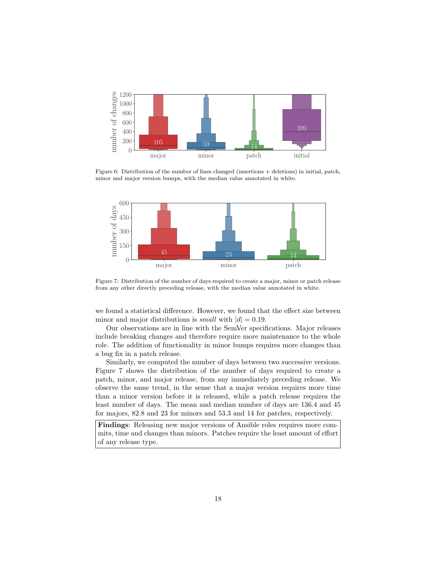

Figure 6: Distribution of the number of lines changed (insertions + deletions) in initial, patch, minor and major version bumps, with the median value annotated in white.



Figure 7: Distribution of the number of days required to create a major, minor or patch release from any other directly preceding release, with the median value annotated in white.

we found a statistical difference. However, we found that the effect size between minor and major distributions is *small* with  $|d| = 0.19$ .

Our observations are in line with the SemVer specifications. Major releases include breaking changes and therefore require more maintenance to the whole role. The addition of functionality in minor bumps requires more changes than a bug fix in a patch release.

Similarly, we computed the number of days between two successive versions. Figure 7 shows the distribution of the number of days required to create a patch, minor, and major release, from any immediately preceding release. We observe the same trend, in the sense that a major version requires more time than a minor version before it is released, while a patch release requires the least number of days. The mean and median number of days are 136.4 and 45 for majors, 82.8 and 23 for minors and 53.3 and 14 for patches, respectively.

Findings: Releasing new major versions of Ansible roles requires more commits, time and changes than minors. Patches require the least amount of effort of any release type.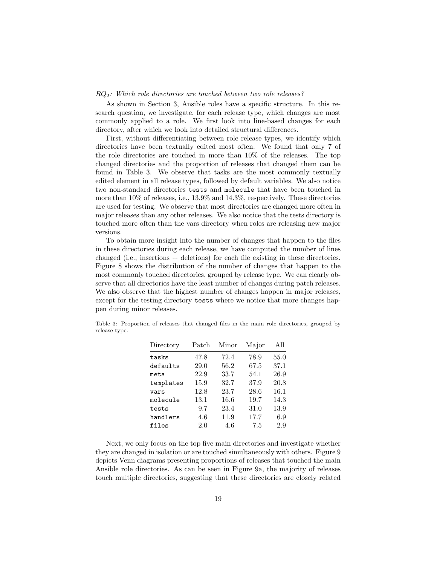# RQ2: Which role directories are touched between two role releases?

As shown in Section 3, Ansible roles have a specific structure. In this research question, we investigate, for each release type, which changes are most commonly applied to a role. We first look into line-based changes for each directory, after which we look into detailed structural differences.

First, without differentiating between role release types, we identify which directories have been textually edited most often. We found that only 7 of the role directories are touched in more than 10% of the releases. The top changed directories and the proportion of releases that changed them can be found in Table 3. We observe that tasks are the most commonly textually edited element in all release types, followed by default variables. We also notice two non-standard directories tests and molecule that have been touched in more than 10% of releases, i.e., 13.9% and 14.3%, respectively. These directories are used for testing. We observe that most directories are changed more often in major releases than any other releases. We also notice that the tests directory is touched more often than the vars directory when roles are releasing new major versions.

To obtain more insight into the number of changes that happen to the files in these directories during each release, we have computed the number of lines changed (i.e., insertions + deletions) for each file existing in these directories. Figure 8 shows the distribution of the number of changes that happen to the most commonly touched directories, grouped by release type. We can clearly observe that all directories have the least number of changes during patch releases. We also observe that the highest number of changes happen in major releases, except for the testing directory tests where we notice that more changes happen during minor releases.

| Directory | Patch | Minor | Major | All      |
|-----------|-------|-------|-------|----------|
| tasks     | 47.8  | 72.4  | 78.9  | $55.0\,$ |
| defaults  | 29.0  | 56.2  | 67.5  | 37.1     |
| meta      | 22.9  | 33.7  | 54.1  | 26.9     |
| templates | 15.9  | 32.7  | 37.9  | 20.8     |
| vars      | 12.8  | 23.7  | 28.6  | 16.1     |
| molecule  | 13.1  | 16.6  | 19.7  | 14.3     |
| tests     | 9.7   | 23.4  | 31.0  | 13.9     |
| handlers  | 4.6   | 11.9  | 17.7  | 6.9      |
| files     | 2.0   | 4.6   | 7.5   | 2.9      |

Table 3: Proportion of releases that changed files in the main role directories, grouped by release type.

Next, we only focus on the top five main directories and investigate whether they are changed in isolation or are touched simultaneously with others. Figure 9 depicts Venn diagrams presenting proportions of releases that touched the main Ansible role directories. As can be seen in Figure 9a, the majority of releases touch multiple directories, suggesting that these directories are closely related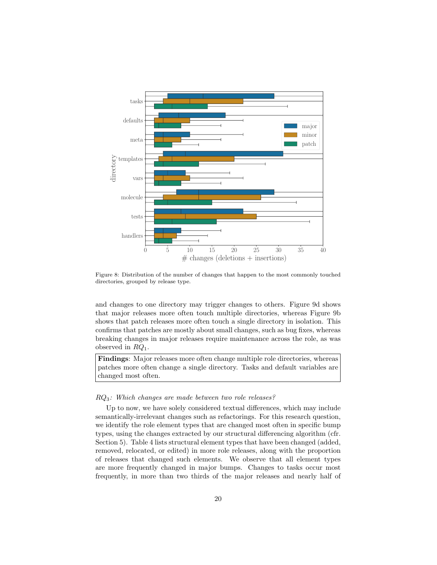

Figure 8: Distribution of the number of changes that happen to the most commonly touched directories, grouped by release type.

and changes to one directory may trigger changes to others. Figure 9d shows that major releases more often touch multiple directories, whereas Figure 9b shows that patch releases more often touch a single directory in isolation. This confirms that patches are mostly about small changes, such as bug fixes, whereas breaking changes in major releases require maintenance across the role, as was observed in  $RQ_1$ .

Findings: Major releases more often change multiple role directories, whereas patches more often change a single directory. Tasks and default variables are changed most often.

# RQ3: Which changes are made between two role releases?

Up to now, we have solely considered textual differences, which may include semantically-irrelevant changes such as refactorings. For this research question, we identify the role element types that are changed most often in specific bump types, using the changes extracted by our structural differencing algorithm (cfr. Section 5). Table 4 lists structural element types that have been changed (added, removed, relocated, or edited) in more role releases, along with the proportion of releases that changed such elements. We observe that all element types are more frequently changed in major bumps. Changes to tasks occur most frequently, in more than two thirds of the major releases and nearly half of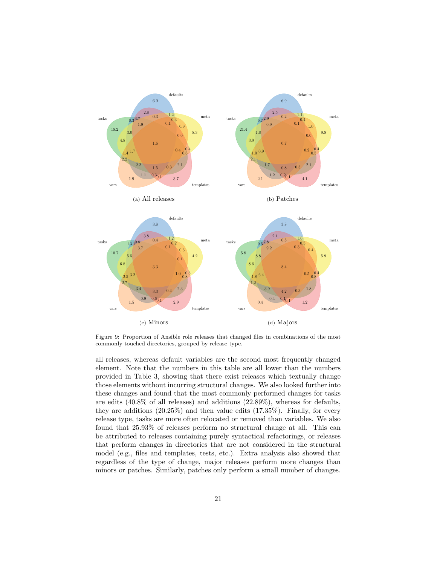

Figure 9: Proportion of Ansible role releases that changed files in combinations of the most commonly touched directories, grouped by release type.

all releases, whereas default variables are the second most frequently changed element. Note that the numbers in this table are all lower than the numbers provided in Table 3, showing that there exist releases which textually change those elements without incurring structural changes. We also looked further into these changes and found that the most commonly performed changes for tasks are edits (40.8% of all releases) and additions (22.89%), whereas for defaults, they are additions (20.25%) and then value edits (17.35%). Finally, for every release type, tasks are more often relocated or removed than variables. We also found that 25.93% of releases perform no structural change at all. This can be attributed to releases containing purely syntactical refactorings, or releases that perform changes in directories that are not considered in the structural model (e.g., files and templates, tests, etc.). Extra analysis also showed that regardless of the type of change, major releases perform more changes than minors or patches. Similarly, patches only perform a small number of changes.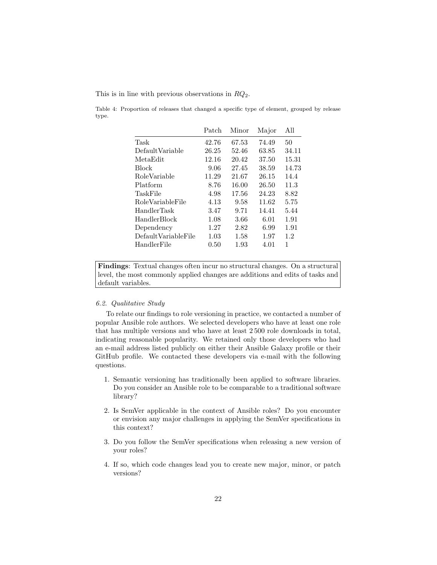This is in line with previous observations in  $RQ_2$ .

Table 4: Proportion of releases that changed a specific type of element, grouped by release type.

|                     | Patch | Minor | Major | All   |
|---------------------|-------|-------|-------|-------|
| Task                | 42.76 | 67.53 | 74.49 | 50    |
| DefaultVariable     | 26.25 | 52.46 | 63.85 | 34.11 |
| MetaEdit            | 12.16 | 20.42 | 37.50 | 15.31 |
| <b>Block</b>        | 9.06  | 27.45 | 38.59 | 14.73 |
| RoleVariable        | 11.29 | 21.67 | 26.15 | 14.4  |
| Platform            | 8.76  | 16.00 | 26.50 | 11.3  |
| TaskFile            | 4.98  | 17.56 | 24.23 | 8.82  |
| RoleVariableFile    | 4.13  | 9.58  | 11.62 | 5.75  |
| HandlerTask         | 3.47  | 9.71  | 14.41 | 5.44  |
| <b>HandlerBlock</b> | 1.08  | 3.66  | 6.01  | 1.91  |
| Dependency          | 1.27  | 2.82  | 6.99  | 1.91  |
| DefaultVariableFile | 1.03  | 1.58  | 1.97  | 1.2   |
| HandlerFile         | 0.50  | 1.93  | 4.01  | 1     |
|                     |       |       |       |       |

Findings: Textual changes often incur no structural changes. On a structural level, the most commonly applied changes are additions and edits of tasks and default variables.

# 6.2. Qualitative Study

To relate our findings to role versioning in practice, we contacted a number of popular Ansible role authors. We selected developers who have at least one role that has multiple versions and who have at least 2 500 role downloads in total, indicating reasonable popularity. We retained only those developers who had an e-mail address listed publicly on either their Ansible Galaxy profile or their GitHub profile. We contacted these developers via e-mail with the following questions.

- 1. Semantic versioning has traditionally been applied to software libraries. Do you consider an Ansible role to be comparable to a traditional software library?
- 2. Is SemVer applicable in the context of Ansible roles? Do you encounter or envision any major challenges in applying the SemVer specifications in this context?
- 3. Do you follow the SemVer specifications when releasing a new version of your roles?
- 4. If so, which code changes lead you to create new major, minor, or patch versions?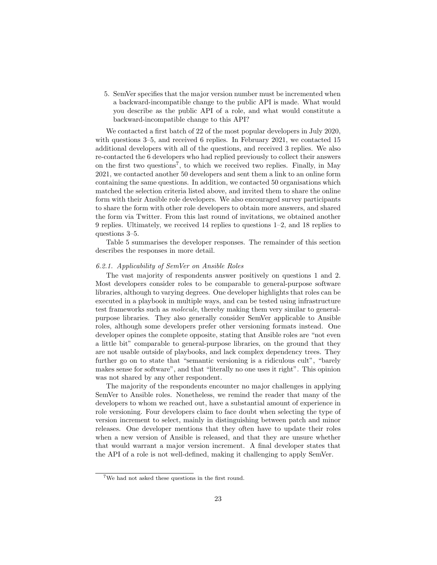5. SemVer specifies that the major version number must be incremented when a backward-incompatible change to the public API is made. What would you describe as the public API of a role, and what would constitute a backward-incompatible change to this API?

We contacted a first batch of 22 of the most popular developers in July 2020, with questions 3–5, and received 6 replies. In February 2021, we contacted 15 additional developers with all of the questions, and received 3 replies. We also re-contacted the 6 developers who had replied previously to collect their answers on the first two questions<sup>7</sup>, to which we received two replies. Finally, in May 2021, we contacted another 50 developers and sent them a link to an online form containing the same questions. In addition, we contacted 50 organisations which matched the selection criteria listed above, and invited them to share the online form with their Ansible role developers. We also encouraged survey participants to share the form with other role developers to obtain more answers, and shared the form via Twitter. From this last round of invitations, we obtained another 9 replies. Ultimately, we received 14 replies to questions 1–2, and 18 replies to questions 3–5.

Table 5 summarises the developer responses. The remainder of this section describes the responses in more detail.

# 6.2.1. Applicability of SemVer on Ansible Roles

The vast majority of respondents answer positively on questions 1 and 2. Most developers consider roles to be comparable to general-purpose software libraries, although to varying degrees. One developer highlights that roles can be executed in a playbook in multiple ways, and can be tested using infrastructure test frameworks such as molecule, thereby making them very similar to generalpurpose libraries. They also generally consider SemVer applicable to Ansible roles, although some developers prefer other versioning formats instead. One developer opines the complete opposite, stating that Ansible roles are "not even a little bit" comparable to general-purpose libraries, on the ground that they are not usable outside of playbooks, and lack complex dependency trees. They further go on to state that "semantic versioning is a ridiculous cult", "barely makes sense for software", and that "literally no one uses it right". This opinion was not shared by any other respondent.

The majority of the respondents encounter no major challenges in applying SemVer to Ansible roles. Nonetheless, we remind the reader that many of the developers to whom we reached out, have a substantial amount of experience in role versioning. Four developers claim to face doubt when selecting the type of version increment to select, mainly in distinguishing between patch and minor releases. One developer mentions that they often have to update their roles when a new version of Ansible is released, and that they are unsure whether that would warrant a major version increment. A final developer states that the API of a role is not well-defined, making it challenging to apply SemVer.

<sup>7</sup>We had not asked these questions in the first round.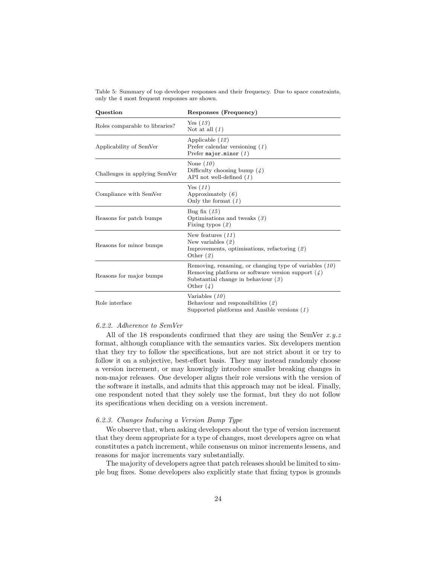Table 5: Summary of top developer responses and their frequency. Due to space constraints, only the 4 most frequent responses are shown.

| Question                       | Responses (Frequency)                                                                                                                                                   |
|--------------------------------|-------------------------------------------------------------------------------------------------------------------------------------------------------------------------|
| Roles comparable to libraries? | Yes $(13)$<br>Not at all $(1)$                                                                                                                                          |
| Applicability of SemVer        | Applicable $(12)$<br>Prefer calendar versioning $(1)$<br>Prefer major.minor $(1)$                                                                                       |
| Challenges in applying SemVer  | None $(10)$<br>Difficulty choosing bump $(4)$<br>API not well-defined $(1)$                                                                                             |
| Compliance with SemVer         | Yes(11)<br>Approximately $(6)$<br>Only the format $(1)$                                                                                                                 |
| Reasons for patch bumps        | Bug fix $(15)$<br>Optimisations and tweaks $(3)$<br>Fixing typos $(2)$                                                                                                  |
| Reasons for minor bumps        | New features $(11)$<br>New variables $(2)$<br>Improvements, optimisations, refactoring $(2)$<br>Other $(2)$                                                             |
| Reasons for major bumps        | Removing, renaming, or changing type of variables $(10)$<br>Removing platform or software version support $(4)$<br>Substantial change in behaviour $(3)$<br>Other $(4)$ |
| Role interface                 | Variables $(10)$<br>Behaviour and responsibilities $(2)$<br>Supported platforms and Ansible versions $(1)$                                                              |

### 6.2.2. Adherence to SemVer

All of the 18 respondents confirmed that they are using the SemVer  $x,y,z$ format, although compliance with the semantics varies. Six developers mention that they try to follow the specifications, but are not strict about it or try to follow it on a subjective, best-effort basis. They may instead randomly choose a version increment, or may knowingly introduce smaller breaking changes in non-major releases. One developer aligns their role versions with the version of the software it installs, and admits that this approach may not be ideal. Finally, one respondent noted that they solely use the format, but they do not follow its specifications when deciding on a version increment.

### 6.2.3. Changes Inducing a Version Bump Type

We observe that, when asking developers about the type of version increment that they deem appropriate for a type of changes, most developers agree on what constitutes a patch increment, while consensus on minor increments lessens, and reasons for major increments vary substantially.

The majority of developers agree that patch releases should be limited to simple bug fixes. Some developers also explicitly state that fixing typos is grounds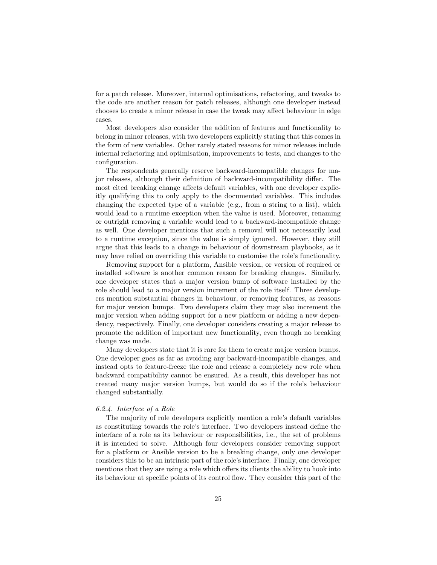for a patch release. Moreover, internal optimisations, refactoring, and tweaks to the code are another reason for patch releases, although one developer instead chooses to create a minor release in case the tweak may affect behaviour in edge cases.

Most developers also consider the addition of features and functionality to belong in minor releases, with two developers explicitly stating that this comes in the form of new variables. Other rarely stated reasons for minor releases include internal refactoring and optimisation, improvements to tests, and changes to the configuration.

The respondents generally reserve backward-incompatible changes for major releases, although their definition of backward-incompatibility differ. The most cited breaking change affects default variables, with one developer explicitly qualifying this to only apply to the documented variables. This includes changing the expected type of a variable (e.g., from a string to a list), which would lead to a runtime exception when the value is used. Moreover, renaming or outright removing a variable would lead to a backward-incompatible change as well. One developer mentions that such a removal will not necessarily lead to a runtime exception, since the value is simply ignored. However, they still argue that this leads to a change in behaviour of downstream playbooks, as it may have relied on overriding this variable to customise the role's functionality.

Removing support for a platform, Ansible version, or version of required or installed software is another common reason for breaking changes. Similarly, one developer states that a major version bump of software installed by the role should lead to a major version increment of the role itself. Three developers mention substantial changes in behaviour, or removing features, as reasons for major version bumps. Two developers claim they may also increment the major version when adding support for a new platform or adding a new dependency, respectively. Finally, one developer considers creating a major release to promote the addition of important new functionality, even though no breaking change was made.

Many developers state that it is rare for them to create major version bumps. One developer goes as far as avoiding any backward-incompatible changes, and instead opts to feature-freeze the role and release a completely new role when backward compatibility cannot be ensured. As a result, this developer has not created many major version bumps, but would do so if the role's behaviour changed substantially.

# 6.2.4. Interface of a Role

The majority of role developers explicitly mention a role's default variables as constituting towards the role's interface. Two developers instead define the interface of a role as its behaviour or responsibilities, i.e., the set of problems it is intended to solve. Although four developers consider removing support for a platform or Ansible version to be a breaking change, only one developer considers this to be an intrinsic part of the role's interface. Finally, one developer mentions that they are using a role which offers its clients the ability to hook into its behaviour at specific points of its control flow. They consider this part of the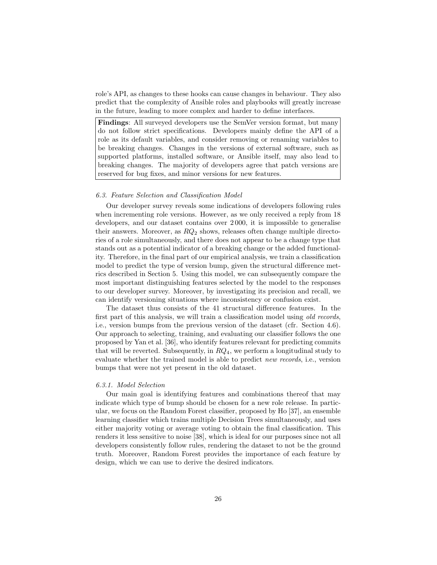role's API, as changes to these hooks can cause changes in behaviour. They also predict that the complexity of Ansible roles and playbooks will greatly increase in the future, leading to more complex and harder to define interfaces.

Findings: All surveyed developers use the SemVer version format, but many do not follow strict specifications. Developers mainly define the API of a role as its default variables, and consider removing or renaming variables to be breaking changes. Changes in the versions of external software, such as supported platforms, installed software, or Ansible itself, may also lead to breaking changes. The majority of developers agree that patch versions are reserved for bug fixes, and minor versions for new features.

# 6.3. Feature Selection and Classification Model

Our developer survey reveals some indications of developers following rules when incrementing role versions. However, as we only received a reply from 18 developers, and our dataset contains over 2 000, it is impossible to generalise their answers. Moreover, as  $RQ_2$  shows, releases often change multiple directories of a role simultaneously, and there does not appear to be a change type that stands out as a potential indicator of a breaking change or the added functionality. Therefore, in the final part of our empirical analysis, we train a classification model to predict the type of version bump, given the structural difference metrics described in Section 5. Using this model, we can subsequently compare the most important distinguishing features selected by the model to the responses to our developer survey. Moreover, by investigating its precision and recall, we can identify versioning situations where inconsistency or confusion exist.

The dataset thus consists of the 41 structural difference features. In the first part of this analysis, we will train a classification model using old records, i.e., version bumps from the previous version of the dataset (cfr. Section 4.6). Our approach to selecting, training, and evaluating our classifier follows the one proposed by Yan et al. [36], who identify features relevant for predicting commits that will be reverted. Subsequently, in  $RQ_4$ , we perform a longitudinal study to evaluate whether the trained model is able to predict new records, i.e., version bumps that were not yet present in the old dataset.

# 6.3.1. Model Selection

Our main goal is identifying features and combinations thereof that may indicate which type of bump should be chosen for a new role release. In particular, we focus on the Random Forest classifier, proposed by Ho [37], an ensemble learning classifier which trains multiple Decision Trees simultaneously, and uses either majority voting or average voting to obtain the final classification. This renders it less sensitive to noise [38], which is ideal for our purposes since not all developers consistently follow rules, rendering the dataset to not be the ground truth. Moreover, Random Forest provides the importance of each feature by design, which we can use to derive the desired indicators.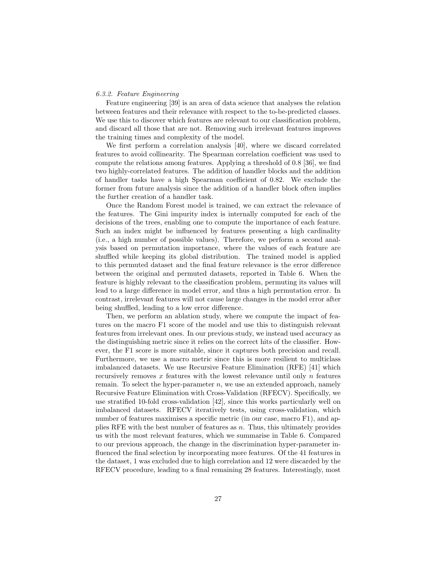# 6.3.2. Feature Engineering

Feature engineering [39] is an area of data science that analyses the relation between features and their relevance with respect to the to-be-predicted classes. We use this to discover which features are relevant to our classification problem, and discard all those that are not. Removing such irrelevant features improves the training times and complexity of the model.

We first perform a correlation analysis [40], where we discard correlated features to avoid collinearity. The Spearman correlation coefficient was used to compute the relations among features. Applying a threshold of 0.8 [36], we find two highly-correlated features. The addition of handler blocks and the addition of handler tasks have a high Spearman coefficient of 0.82. We exclude the former from future analysis since the addition of a handler block often implies the further creation of a handler task.

Once the Random Forest model is trained, we can extract the relevance of the features. The Gini impurity index is internally computed for each of the decisions of the trees, enabling one to compute the importance of each feature. Such an index might be influenced by features presenting a high cardinality (i.e., a high number of possible values). Therefore, we perform a second analysis based on permutation importance, where the values of each feature are shuffled while keeping its global distribution. The trained model is applied to this permuted dataset and the final feature relevance is the error difference between the original and permuted datasets, reported in Table 6. When the feature is highly relevant to the classification problem, permuting its values will lead to a large difference in model error, and thus a high permutation error. In contrast, irrelevant features will not cause large changes in the model error after being shuffled, leading to a low error difference.

Then, we perform an ablation study, where we compute the impact of features on the macro F1 score of the model and use this to distinguish relevant features from irrelevant ones. In our previous study, we instead used accuracy as the distinguishing metric since it relies on the correct hits of the classifier. However, the F1 score is more suitable, since it captures both precision and recall. Furthermore, we use a macro metric since this is more resilient to multiclass imbalanced datasets. We use Recursive Feature Elimination (RFE) [41] which recursively removes  $x$  features with the lowest relevance until only  $n$  features remain. To select the hyper-parameter  $n$ , we use an extended approach, namely Recursive Feature Elimination with Cross-Validation (RFECV). Specifically, we use stratified 10-fold cross-validation [42], since this works particularly well on imbalanced datasets. RFECV iteratively tests, using cross-validation, which number of features maximises a specific metric (in our case, macro F1), and applies RFE with the best number of features as  $n$ . Thus, this ultimately provides us with the most relevant features, which we summarise in Table 6. Compared to our previous approach, the change in the discrimination hyper-parameter influenced the final selection by incorporating more features. Of the 41 features in the dataset, 1 was excluded due to high correlation and 12 were discarded by the RFECV procedure, leading to a final remaining 28 features. Interestingly, most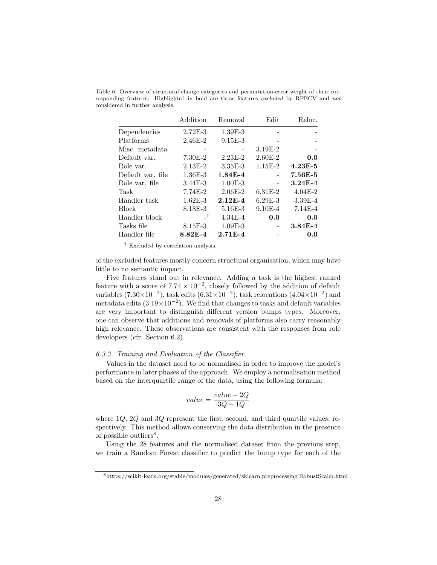|                   | Addition    | Removal     | Edit        | Reloc.      |
|-------------------|-------------|-------------|-------------|-------------|
| Dependencies      | $2.72E-3$   | $1.39E-3$   |             |             |
| Platforms         | $2.46E - 2$ | $9.15E-3$   |             |             |
| Misc. metadata    |             |             | $3.19E-2$   |             |
| Default var.      | $7.30E-2$   | $2.23E-2$   | $2.60E-2$   | 0.0         |
| Role var.         | $2.13E-2$   | $3.35E - 3$ | $1.15E-2$   | $4.23E - 5$ |
| Default var. file | $1.36E - 3$ | $1.84E - 4$ |             | 7.56E-5     |
| Role var. file    | $3.44E-3$   | $1.00E-3$   |             | $3.24E - 4$ |
| Task              | 7.74E-2     | $2.06E-2$   | $6.31E-2$   | $4.04E-2$   |
| Handler task      | $1.62E - 3$ | $2.12E-4$   | $6.29E-3$   | $3.39E - 4$ |
| <b>Block</b>      | 8.18E-3     | $5.16E-3$   | $9.10E - 4$ | $7.14E-4$   |
| Handler block     | _†          | $4.34E - 4$ | 0.0         | 0.0         |
| Tasks file        | 8.15E-3     | $1.09E - 3$ |             | $3.84E - 4$ |
| Handler file      | 8.82E-4     | $2.71E-4$   |             | 0.0         |
|                   |             |             |             |             |

Table 6: Overview of structural change categories and permutation-error weight of their corresponding features. Highlighted in bold are those features excluded by RFECV and not considered in further analysis.

† Excluded by correlation analysis.

of the excluded features mostly concern structural organisation, which may have little to no semantic impact.

Five features stand out in relevance. Adding a task is the highest ranked feature with a score of  $7.74 \times 10^{-2}$ , closely followed by the addition of default variables  $(7.30\times10^{-2})$ , task edits  $(6.31\times10^{-2})$ , task relocations  $(4.04\times10^{-2})$  and metadata edits  $(3.19 \times 10^{-2})$ . We find that changes to tasks and default variables are very important to distinguish different version bumps types. Moreover, one can observe that additions and removals of platforms also carry reasonably high relevance. These observations are consistent with the responses from role developers (cfr. Section 6.2).

# 6.3.3. Training and Evaluation of the Classifier

Values in the dataset need to be normalised in order to improve the model's performance in later phases of the approach. We employ a normalisation method based on the interquartile range of the data, using the following formula:

$$
value = \frac{value - 2Q}{3Q - 1Q}
$$

where 1Q, 2Q and 3Q represent the first, second, and third quartile values, respectively. This method allows conserving the data distribution in the presence of possible outliers<sup>8</sup>.

Using the 28 features and the normalised dataset from the previous step, we train a Random Forest classifier to predict the bump type for each of the

<sup>8</sup>https://scikit-learn.org/stable/modules/generated/sklearn.preprocessing.RobustScaler.html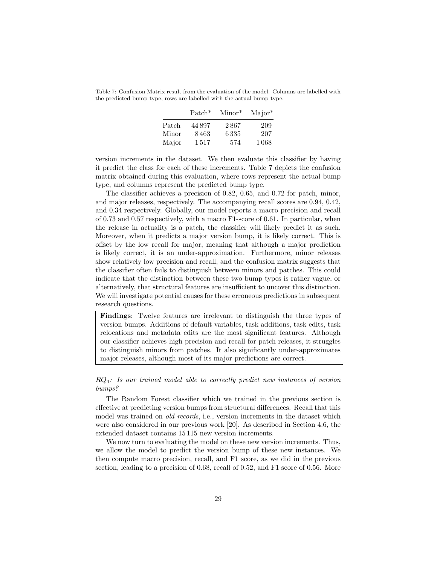Table 7: Confusion Matrix result from the evaluation of the model. Columns are labelled with the predicted bump type, rows are labelled with the actual bump type.

|       | $Patch*$ | $Minor^*$ | $Major^*$ |
|-------|----------|-----------|-----------|
| Patch | 44 897   | 2867      | 209       |
| Minor | 8463     | 6335      | 207       |
| Major | 1517     | 574       | 1068      |

version increments in the dataset. We then evaluate this classifier by having it predict the class for each of these increments. Table 7 depicts the confusion matrix obtained during this evaluation, where rows represent the actual bump type, and columns represent the predicted bump type.

The classifier achieves a precision of 0.82, 0.65, and 0.72 for patch, minor, and major releases, respectively. The accompanying recall scores are 0.94, 0.42, and 0.34 respectively. Globally, our model reports a macro precision and recall of 0.73 and 0.57 respectively, with a macro F1-score of 0.61. In particular, when the release in actuality is a patch, the classifier will likely predict it as such. Moreover, when it predicts a major version bump, it is likely correct. This is offset by the low recall for major, meaning that although a major prediction is likely correct, it is an under-approximation. Furthermore, minor releases show relatively low precision and recall, and the confusion matrix suggests that the classifier often fails to distinguish between minors and patches. This could indicate that the distinction between these two bump types is rather vague, or alternatively, that structural features are insufficient to uncover this distinction. We will investigate potential causes for these erroneous predictions in subsequent research questions.

Findings: Twelve features are irrelevant to distinguish the three types of version bumps. Additions of default variables, task additions, task edits, task relocations and metadata edits are the most significant features. Although our classifier achieves high precision and recall for patch releases, it struggles to distinguish minors from patches. It also significantly under-approximates major releases, although most of its major predictions are correct.

 $RQ_4$ : Is our trained model able to correctly predict new instances of version bumps?

The Random Forest classifier which we trained in the previous section is effective at predicting version bumps from structural differences. Recall that this model was trained on old records, i.e., version increments in the dataset which were also considered in our previous work [20]. As described in Section 4.6, the extended dataset contains 15 115 new version increments.

We now turn to evaluating the model on these new version increments. Thus, we allow the model to predict the version bump of these new instances. We then compute macro precision, recall, and F1 score, as we did in the previous section, leading to a precision of 0.68, recall of 0.52, and F1 score of 0.56. More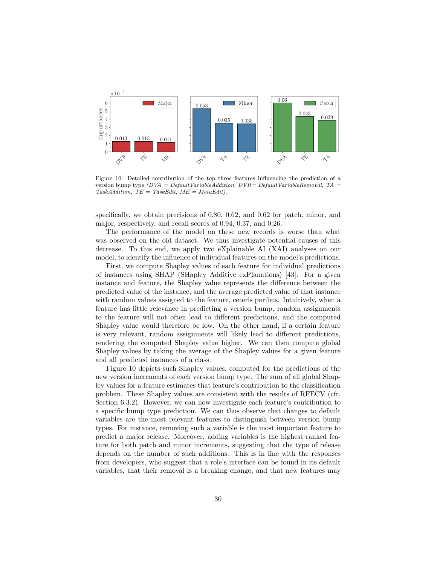

Figure 10: Detailed contribution of the top three features influencing the prediction of a version bump type  $(DVA = DefaultVariableAddition, DVR = DefaultVariableRemoval, TA =$ TaskAddition,  $TE = TaskEdit$ ,  $ME = MetaEdit$ .

specifically, we obtain precisions of 0.80, 0.62, and 0.62 for patch, minor, and major, respectively, and recall scores of 0.94, 0.37, and 0.26.

The performance of the model on these new records is worse than what was observed on the old dataset. We thus investigate potential causes of this decrease. To this end, we apply two eXplainable AI (XAI) analyses on our model, to identify the influence of individual features on the model's predictions.

First, we compute Shapley values of each feature for individual predictions of instances using SHAP (SHapley Additive exPlanations) [43]. For a given instance and feature, the Shapley value represents the difference between the predicted value of the instance, and the average predicted value of that instance with random values assigned to the feature, ceteris paribus. Intuitively, when a feature has little relevance in predicting a version bump, random assignments to the feature will not often lead to different predictions, and the computed Shapley value would therefore be low. On the other hand, if a certain feature is very relevant, random assignments will likely lead to different predictions, rendering the computed Shapley value higher. We can then compute global Shapley values by taking the average of the Shapley values for a given feature and all predicted instances of a class.

Figure 10 depicts such Shapley values, computed for the predictions of the new version increments of each version bump type. The sum of all global Shapley values for a feature estimates that feature's contribution to the classification problem. These Shapley values are consistent with the results of RFECV (cfr. Section 6.3.2). However, we can now investigate each feature's contribution to a specific bump type prediction. We can thus observe that changes to default variables are the most relevant features to distinguish between version bump types. For instance, removing such a variable is the most important feature to predict a major release. Moreover, adding variables is the highest ranked feature for both patch and minor increments, suggesting that the type of release depends on the number of such additions. This is in line with the responses from developers, who suggest that a role's interface can be found in its default variables, that their removal is a breaking change, and that new features may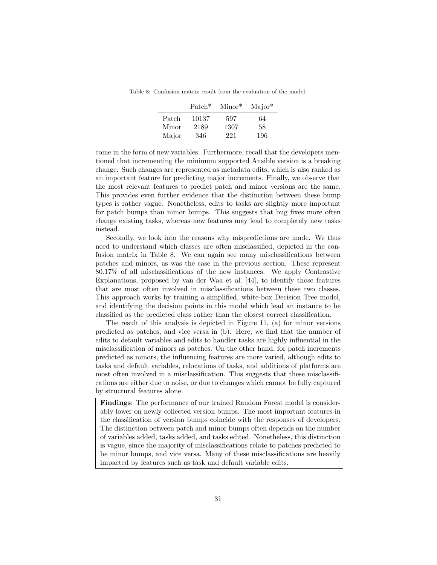Table 8: Confusion matrix result from the evaluation of the model.

|       | $Patch*$ | $Minor^*$ | $Major^*$ |
|-------|----------|-----------|-----------|
| Patch | 10137    | 597       | 64        |
| Minor | 2189     | 1307      | 58        |
| Major | 346      | 221       | 196       |

come in the form of new variables. Furthermore, recall that the developers mentioned that incrementing the minimum supported Ansible version is a breaking change. Such changes are represented as metadata edits, which is also ranked as an important feature for predicting major increments. Finally, we observe that the most relevant features to predict patch and minor versions are the same. This provides even further evidence that the distinction between these bump types is rather vague. Nonetheless, edits to tasks are slightly more important for patch bumps than minor bumps. This suggests that bug fixes more often change existing tasks, whereas new features may lead to completely new tasks instead.

Secondly, we look into the reasons why mispredictions are made. We thus need to understand which classes are often misclassified, depicted in the confusion matrix in Table 8. We can again see many misclassifications between patches and minors, as was the case in the previous section. These represent 80.17% of all misclassifications of the new instances. We apply Contrastive Explanations, proposed by van der Waa et al. [44], to identify those features that are most often involved in misclassifications between these two classes. This approach works by training a simplified, white-box Decision Tree model, and identifying the decision points in this model which lead an instance to be classified as the predicted class rather than the closest correct classification.

The result of this analysis is depicted in Figure 11, (a) for minor versions predicted as patches, and vice versa in (b). Here, we find that the number of edits to default variables and edits to handler tasks are highly influential in the misclassification of minors as patches. On the other hand, for patch increments predicted as minors, the influencing features are more varied, although edits to tasks and default variables, relocations of tasks, and additions of platforms are most often involved in a misclassification. This suggests that these misclassifications are either due to noise, or due to changes which cannot be fully captured by structural features alone.

Findings: The performance of our trained Random Forest model is considerably lower on newly collected version bumps. The most important features in the classification of version bumps coincide with the responses of developers. The distinction between patch and minor bumps often depends on the number of variables added, tasks added, and tasks edited. Nonetheless, this distinction is vague, since the majority of misclassifications relate to patches predicted to be minor bumps, and vice versa. Many of these misclassifications are heavily impacted by features such as task and default variable edits.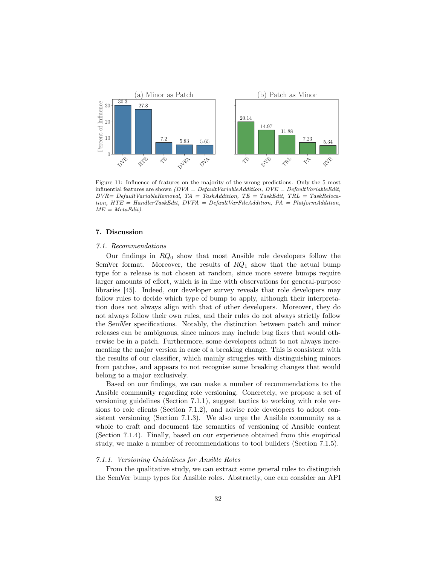

Figure 11: Influence of features on the majority of the wrong predictions. Only the 5 most influential features are shown  $(DVA = DefaultVariableAddition, DVE = DefaultVariableEdit,$  $DVR = Default VariableRemoval, TA = TaskAddition, TE = TaskEdit, TRI = TaskReloca$ tion, HTE = HandlerTaskEdit, DVFA = DefaultVarFileAddition, PA = PlatformAddition,  $ME = MetaEdit$ .

# 7. Discussion

# 7.1. Recommendations

Our findings in  $RQ_0$  show that most Ansible role developers follow the SemVer format. Moreover, the results of  $RQ_1$  show that the actual bump type for a release is not chosen at random, since more severe bumps require larger amounts of effort, which is in line with observations for general-purpose libraries [45]. Indeed, our developer survey reveals that role developers may follow rules to decide which type of bump to apply, although their interpretation does not always align with that of other developers. Moreover, they do not always follow their own rules, and their rules do not always strictly follow the SemVer specifications. Notably, the distinction between patch and minor releases can be ambiguous, since minors may include bug fixes that would otherwise be in a patch. Furthermore, some developers admit to not always incrementing the major version in case of a breaking change. This is consistent with the results of our classifier, which mainly struggles with distinguishing minors from patches, and appears to not recognise some breaking changes that would belong to a major exclusively.

Based on our findings, we can make a number of recommendations to the Ansible community regarding role versioning. Concretely, we propose a set of versioning guidelines (Section 7.1.1), suggest tactics to working with role versions to role clients (Section 7.1.2), and advise role developers to adopt consistent versioning (Section 7.1.3). We also urge the Ansible community as a whole to craft and document the semantics of versioning of Ansible content (Section 7.1.4). Finally, based on our experience obtained from this empirical study, we make a number of recommendations to tool builders (Section 7.1.5).

### 7.1.1. Versioning Guidelines for Ansible Roles

From the qualitative study, we can extract some general rules to distinguish the SemVer bump types for Ansible roles. Abstractly, one can consider an API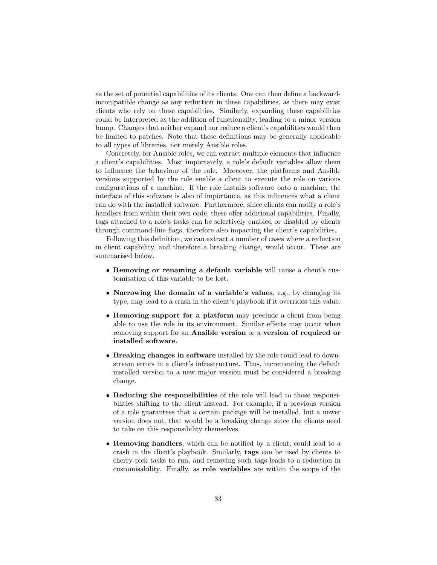as the set of potential capabilities of its clients. One can then define a backwardincompatible change as any reduction in these capabilities, as there may exist clients who rely on these capabilities. Similarly, expanding these capabilities could be interpreted as the addition of functionality, leading to a minor version bump. Changes that neither expand nor reduce a client's capabilities would then be limited to patches. Note that these definitions may be generally applicable to all types of libraries, not merely Ansible roles.

Concretely, for Ansible roles, we can extract multiple elements that influence a client's capabilities. Most importantly, a role's default variables allow them to influence the behaviour of the role. Moreover, the platforms and Ansible versions supported by the role enable a client to execute the role on various configurations of a machine. If the role installs software onto a machine, the interface of this software is also of importance, as this influences what a client can do with the installed software. Furthermore, since clients can notify a role's handlers from within their own code, these offer additional capabilities. Finally, tags attached to a role's tasks can be selectively enabled or disabled by clients through command-line flags, therefore also impacting the client's capabilities.

Following this definition, we can extract a number of cases where a reduction in client capability, and therefore a breaking change, would occur. These are summarised below.

- Removing or renaming a default variable will cause a client's customisation of this variable to be lost.
- Narrowing the domain of a variable's values, e.g., by changing its type, may lead to a crash in the client's playbook if it overrides this value.
- Removing support for a platform may preclude a client from being able to use the role in its environment. Similar effects may occur when removing support for an Ansible version or a version of required or installed software.
- Breaking changes in software installed by the role could lead to downstream errors in a client's infrastructure. Thus, incrementing the default installed version to a new major version must be considered a breaking change.
- Reducing the responsibilities of the role will lead to those responsibilities shifting to the client instead. For example, if a previous version of a role guarantees that a certain package will be installed, but a newer version does not, that would be a breaking change since the clients need to take on this responsibility themselves.
- Removing handlers, which can be notified by a client, could lead to a crash in the client's playbook. Similarly, tags can be used by clients to cherry-pick tasks to run, and removing such tags leads to a reduction in customisability. Finally, as role variables are within the scope of the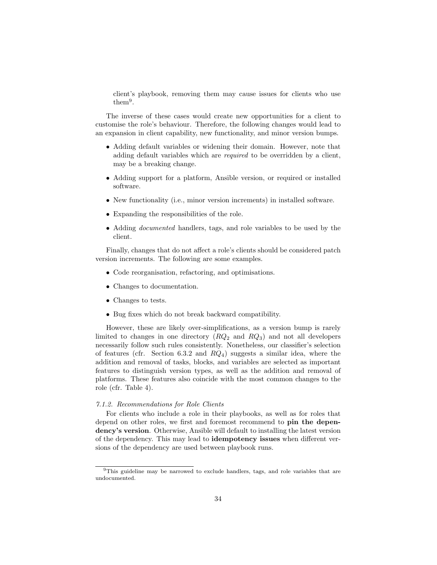client's playbook, removing them may cause issues for clients who use them<sup>9</sup> .

The inverse of these cases would create new opportunities for a client to customise the role's behaviour. Therefore, the following changes would lead to an expansion in client capability, new functionality, and minor version bumps.

- Adding default variables or widening their domain. However, note that adding default variables which are required to be overridden by a client, may be a breaking change.
- Adding support for a platform, Ansible version, or required or installed software.
- New functionality (i.e., minor version increments) in installed software.
- Expanding the responsibilities of the role.
- Adding *documented* handlers, tags, and role variables to be used by the client.

Finally, changes that do not affect a role's clients should be considered patch version increments. The following are some examples.

- Code reorganisation, refactoring, and optimisations.
- Changes to documentation.
- Changes to tests.
- Bug fixes which do not break backward compatibility.

However, these are likely over-simplifications, as a version bump is rarely limited to changes in one directory  $(RQ_2 \text{ and } RQ_3)$  and not all developers necessarily follow such rules consistently. Nonetheless, our classifier's selection of features (cfr. Section 6.3.2 and  $RQ_4$ ) suggests a similar idea, where the addition and removal of tasks, blocks, and variables are selected as important features to distinguish version types, as well as the addition and removal of platforms. These features also coincide with the most common changes to the role (cfr. Table 4).

# 7.1.2. Recommendations for Role Clients

For clients who include a role in their playbooks, as well as for roles that depend on other roles, we first and foremost recommend to pin the dependency's version. Otherwise, Ansible will default to installing the latest version of the dependency. This may lead to idempotency issues when different versions of the dependency are used between playbook runs.

<sup>9</sup>This guideline may be narrowed to exclude handlers, tags, and role variables that are undocumented.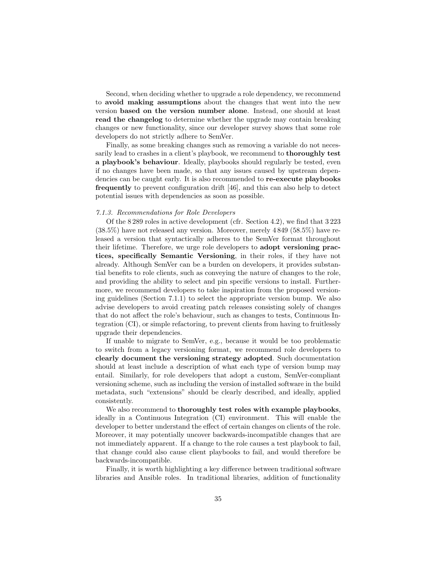Second, when deciding whether to upgrade a role dependency, we recommend to avoid making assumptions about the changes that went into the new version based on the version number alone. Instead, one should at least read the changelog to determine whether the upgrade may contain breaking changes or new functionality, since our developer survey shows that some role developers do not strictly adhere to SemVer.

Finally, as some breaking changes such as removing a variable do not necessarily lead to crashes in a client's playbook, we recommend to **thoroughly test** a playbook's behaviour. Ideally, playbooks should regularly be tested, even if no changes have been made, so that any issues caused by upstream dependencies can be caught early. It is also recommended to re-execute playbooks frequently to prevent configuration drift [46], and this can also help to detect potential issues with dependencies as soon as possible.

# 7.1.3. Recommendations for Role Developers

Of the 8 289 roles in active development (cfr. Section 4.2), we find that 3 223 (38.5%) have not released any version. Moreover, merely 4 849 (58.5%) have released a version that syntactically adheres to the SemVer format throughout their lifetime. Therefore, we urge role developers to adopt versioning practices, specifically Semantic Versioning, in their roles, if they have not already. Although SemVer can be a burden on developers, it provides substantial benefits to role clients, such as conveying the nature of changes to the role, and providing the ability to select and pin specific versions to install. Furthermore, we recommend developers to take inspiration from the proposed versioning guidelines (Section 7.1.1) to select the appropriate version bump. We also advise developers to avoid creating patch releases consisting solely of changes that do not affect the role's behaviour, such as changes to tests, Continuous Integration (CI), or simple refactoring, to prevent clients from having to fruitlessly upgrade their dependencies.

If unable to migrate to SemVer, e.g., because it would be too problematic to switch from a legacy versioning format, we recommend role developers to clearly document the versioning strategy adopted. Such documentation should at least include a description of what each type of version bump may entail. Similarly, for role developers that adopt a custom, SemVer-compliant versioning scheme, such as including the version of installed software in the build metadata, such "extensions" should be clearly described, and ideally, applied consistently.

We also recommend to thoroughly test roles with example playbooks, ideally in a Continuous Integration (CI) environment. This will enable the developer to better understand the effect of certain changes on clients of the role. Moreover, it may potentially uncover backwards-incompatible changes that are not immediately apparent. If a change to the role causes a test playbook to fail, that change could also cause client playbooks to fail, and would therefore be backwards-incompatible.

Finally, it is worth highlighting a key difference between traditional software libraries and Ansible roles. In traditional libraries, addition of functionality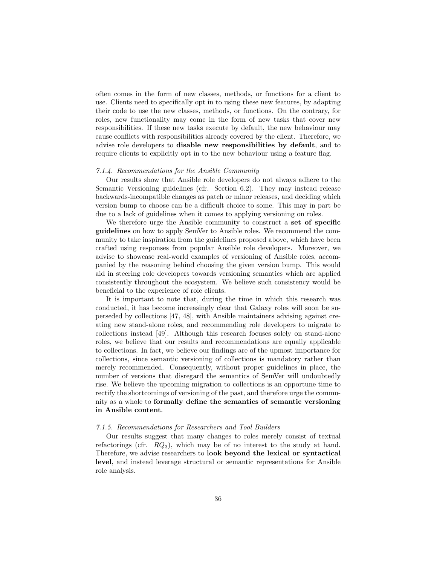often comes in the form of new classes, methods, or functions for a client to use. Clients need to specifically opt in to using these new features, by adapting their code to use the new classes, methods, or functions. On the contrary, for roles, new functionality may come in the form of new tasks that cover new responsibilities. If these new tasks execute by default, the new behaviour may cause conflicts with responsibilities already covered by the client. Therefore, we advise role developers to disable new responsibilities by default, and to require clients to explicitly opt in to the new behaviour using a feature flag.

### 7.1.4. Recommendations for the Ansible Community

Our results show that Ansible role developers do not always adhere to the Semantic Versioning guidelines (cfr. Section 6.2). They may instead release backwards-incompatible changes as patch or minor releases, and deciding which version bump to choose can be a difficult choice to some. This may in part be due to a lack of guidelines when it comes to applying versioning on roles.

We therefore urge the Ansible community to construct a set of specific guidelines on how to apply SemVer to Ansible roles. We recommend the community to take inspiration from the guidelines proposed above, which have been crafted using responses from popular Ansible role developers. Moreover, we advise to showcase real-world examples of versioning of Ansible roles, accompanied by the reasoning behind choosing the given version bump. This would aid in steering role developers towards versioning semantics which are applied consistently throughout the ecosystem. We believe such consistency would be beneficial to the experience of role clients.

It is important to note that, during the time in which this research was conducted, it has become increasingly clear that Galaxy roles will soon be superseded by collections [47, 48], with Ansible maintainers advising against creating new stand-alone roles, and recommending role developers to migrate to collections instead [49]. Although this research focuses solely on stand-alone roles, we believe that our results and recommendations are equally applicable to collections. In fact, we believe our findings are of the upmost importance for collections, since semantic versioning of collections is mandatory rather than merely recommended. Consequently, without proper guidelines in place, the number of versions that disregard the semantics of SemVer will undoubtedly rise. We believe the upcoming migration to collections is an opportune time to rectify the shortcomings of versioning of the past, and therefore urge the community as a whole to formally define the semantics of semantic versioning in Ansible content.

# 7.1.5. Recommendations for Researchers and Tool Builders

Our results suggest that many changes to roles merely consist of textual refactorings (cfr.  $RQ_3$ ), which may be of no interest to the study at hand. Therefore, we advise researchers to look beyond the lexical or syntactical level, and instead leverage structural or semantic representations for Ansible role analysis.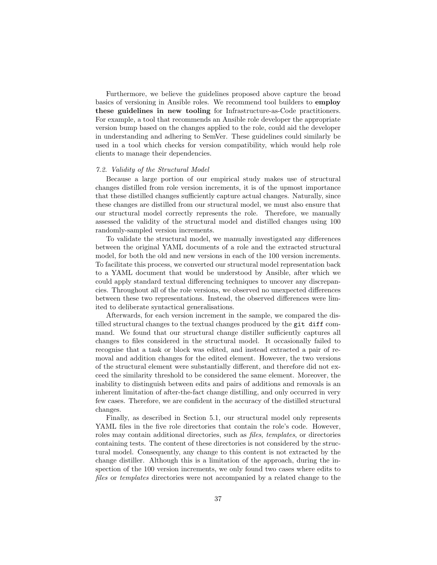Furthermore, we believe the guidelines proposed above capture the broad basics of versioning in Ansible roles. We recommend tool builders to employ these guidelines in new tooling for Infrastructure-as-Code practitioners. For example, a tool that recommends an Ansible role developer the appropriate version bump based on the changes applied to the role, could aid the developer in understanding and adhering to SemVer. These guidelines could similarly be used in a tool which checks for version compatibility, which would help role clients to manage their dependencies.

# 7.2. Validity of the Structural Model

Because a large portion of our empirical study makes use of structural changes distilled from role version increments, it is of the upmost importance that these distilled changes sufficiently capture actual changes. Naturally, since these changes are distilled from our structural model, we must also ensure that our structural model correctly represents the role. Therefore, we manually assessed the validity of the structural model and distilled changes using 100 randomly-sampled version increments.

To validate the structural model, we manually investigated any differences between the original YAML documents of a role and the extracted structural model, for both the old and new versions in each of the 100 version increments. To facilitate this process, we converted our structural model representation back to a YAML document that would be understood by Ansible, after which we could apply standard textual differencing techniques to uncover any discrepancies. Throughout all of the role versions, we observed no unexpected differences between these two representations. Instead, the observed differences were limited to deliberate syntactical generalisations.

Afterwards, for each version increment in the sample, we compared the distilled structural changes to the textual changes produced by the git diff command. We found that our structural change distiller sufficiently captures all changes to files considered in the structural model. It occasionally failed to recognise that a task or block was edited, and instead extracted a pair of removal and addition changes for the edited element. However, the two versions of the structural element were substantially different, and therefore did not exceed the similarity threshold to be considered the same element. Moreover, the inability to distinguish between edits and pairs of additions and removals is an inherent limitation of after-the-fact change distilling, and only occurred in very few cases. Therefore, we are confident in the accuracy of the distilled structural changes.

Finally, as described in Section 5.1, our structural model only represents YAML files in the five role directories that contain the role's code. However, roles may contain additional directories, such as files, templates, or directories containing tests. The content of these directories is not considered by the structural model. Consequently, any change to this content is not extracted by the change distiller. Although this is a limitation of the approach, during the inspection of the 100 version increments, we only found two cases where edits to files or templates directories were not accompanied by a related change to the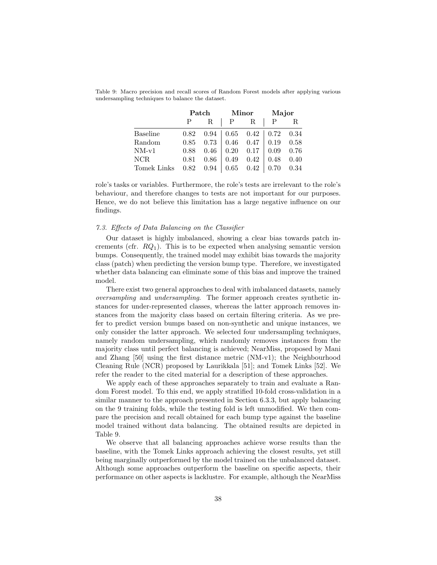|                 |      | Patch        |              | <b>Minor</b>           | Major       |      |
|-----------------|------|--------------|--------------|------------------------|-------------|------|
|                 |      | $\mathbf{R}$ | $\mathbf{P}$ | R                      |             | R    |
| <b>Baseline</b> | 0.82 | 0.94         |              | $0.65$ $0.42$   $0.72$ |             | 0.34 |
| Random          | 0.85 | 0.73         |              | $0.46$ 0.47            | $\mid$ 0.19 | 0.58 |
| $NM-v1$         | 0.88 | 0.46         | 0.20         | 0.17                   | 0.09        | 0.76 |
| <b>NCR</b>      | 0.81 | 0.86         | 0.49         | 0.42                   | 0.48        | 0.40 |
| Tomek Links     | 0.82 | 0.94         | 0.65         | $0.42\,$               | 0.70        | 0.34 |

Table 9: Macro precision and recall scores of Random Forest models after applying various undersampling techniques to balance the dataset.

role's tasks or variables. Furthermore, the role's tests are irrelevant to the role's behaviour, and therefore changes to tests are not important for our purposes. Hence, we do not believe this limitation has a large negative influence on our findings.

# 7.3. Effects of Data Balancing on the Classifier

Our dataset is highly imbalanced, showing a clear bias towards patch increments (cfr.  $RQ_1$ ). This is to be expected when analysing semantic version bumps. Consequently, the trained model may exhibit bias towards the majority class (patch) when predicting the version bump type. Therefore, we investigated whether data balancing can eliminate some of this bias and improve the trained model.

There exist two general approaches to deal with imbalanced datasets, namely oversampling and undersampling. The former approach creates synthetic instances for under-represented classes, whereas the latter approach removes instances from the majority class based on certain filtering criteria. As we prefer to predict version bumps based on non-synthetic and unique instances, we only consider the latter approach. We selected four undersampling techniques, namely random undersampling, which randomly removes instances from the majority class until perfect balancing is achieved; NearMiss, proposed by Mani and Zhang [50] using the first distance metric (NM-v1); the Neighbourhood Cleaning Rule (NCR) proposed by Laurikkala [51]; and Tomek Links [52]. We refer the reader to the cited material for a description of these approaches.

We apply each of these approaches separately to train and evaluate a Random Forest model. To this end, we apply stratified 10-fold cross-validation in a similar manner to the approach presented in Section 6.3.3, but apply balancing on the 9 training folds, while the testing fold is left unmodified. We then compare the precision and recall obtained for each bump type against the baseline model trained without data balancing. The obtained results are depicted in Table 9.

We observe that all balancing approaches achieve worse results than the baseline, with the Tomek Links approach achieving the closest results, yet still being marginally outperformed by the model trained on the unbalanced dataset. Although some approaches outperform the baseline on specific aspects, their performance on other aspects is lacklustre. For example, although the NearMiss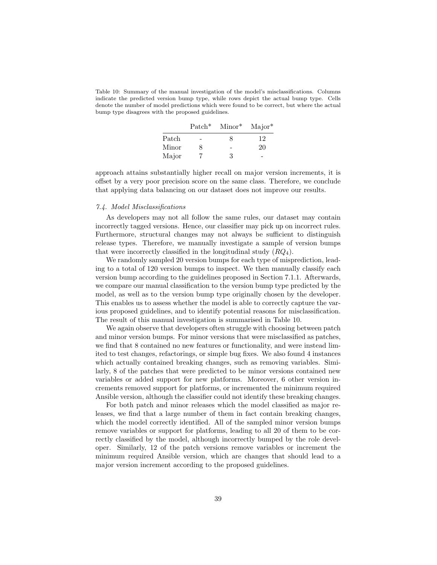Table 10: Summary of the manual investigation of the model's misclassifications. Columns indicate the predicted version bump type, while rows depict the actual bump type. Cells denote the number of model predictions which were found to be correct, but where the actual bump type disagrees with the proposed guidelines.

|               | $\text{Patch}^*$ | $Minor^*$ | $Major^*$ |
|---------------|------------------|-----------|-----------|
| $\rm {Patch}$ |                  | x         | 12        |
| Minor         | 8                |           | 20        |
| Major         |                  | 3         |           |

approach attains substantially higher recall on major version increments, it is offset by a very poor precision score on the same class. Therefore, we conclude that applying data balancing on our dataset does not improve our results.

# 7.4. Model Misclassifications

As developers may not all follow the same rules, our dataset may contain incorrectly tagged versions. Hence, our classifier may pick up on incorrect rules. Furthermore, structural changes may not always be sufficient to distinguish release types. Therefore, we manually investigate a sample of version bumps that were incorrectly classified in the longitudinal study  $(RQ_4)$ .

We randomly sampled 20 version bumps for each type of misprediction, leading to a total of 120 version bumps to inspect. We then manually classify each version bump according to the guidelines proposed in Section 7.1.1. Afterwards, we compare our manual classification to the version bump type predicted by the model, as well as to the version bump type originally chosen by the developer. This enables us to assess whether the model is able to correctly capture the various proposed guidelines, and to identify potential reasons for misclassification. The result of this manual investigation is summarised in Table 10.

We again observe that developers often struggle with choosing between patch and minor version bumps. For minor versions that were misclassified as patches, we find that 8 contained no new features or functionality, and were instead limited to test changes, refactorings, or simple bug fixes. We also found 4 instances which actually contained breaking changes, such as removing variables. Similarly, 8 of the patches that were predicted to be minor versions contained new variables or added support for new platforms. Moreover, 6 other version increments removed support for platforms, or incremented the minimum required Ansible version, although the classifier could not identify these breaking changes.

For both patch and minor releases which the model classified as major releases, we find that a large number of them in fact contain breaking changes, which the model correctly identified. All of the sampled minor version bumps remove variables or support for platforms, leading to all 20 of them to be correctly classified by the model, although incorrectly bumped by the role developer. Similarly, 12 of the patch versions remove variables or increment the minimum required Ansible version, which are changes that should lead to a major version increment according to the proposed guidelines.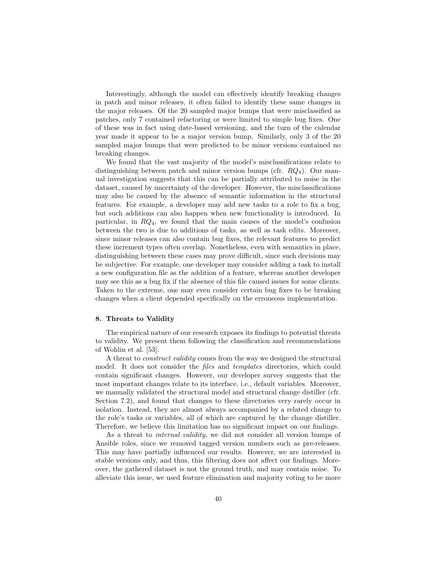Interestingly, although the model can effectively identify breaking changes in patch and minor releases, it often failed to identify these same changes in the major releases. Of the 20 sampled major bumps that were misclassified as patches, only 7 contained refactoring or were limited to simple bug fixes. One of these was in fact using date-based versioning, and the turn of the calendar year made it appear to be a major version bump. Similarly, only 3 of the 20 sampled major bumps that were predicted to be minor versions contained no breaking changes.

We found that the vast majority of the model's misclassifications relate to distinguishing between patch and minor version bumps (cfr.  $RQ_4$ ). Our manual investigation suggests that this can be partially attributed to noise in the dataset, caused by uncertainty of the developer. However, the misclassifications may also be caused by the absence of semantic information in the structural features. For example, a developer may add new tasks to a role to fix a bug, but such additions can also happen when new functionality is introduced. In particular, in  $RQ_4$ , we found that the main causes of the model's confusion between the two is due to additions of tasks, as well as task edits. Moreover, since minor releases can also contain bug fixes, the relevant features to predict these increment types often overlap. Nonetheless, even with semantics in place, distinguishing between these cases may prove difficult, since such decisions may be subjective. For example, one developer may consider adding a task to install a new configuration file as the addition of a feature, whereas another developer may see this as a bug fix if the absence of this file caused issues for some clients. Taken to the extreme, one may even consider certain bug fixes to be breaking changes when a client depended specifically on the erroneous implementation.

# 8. Threats to Validity

The empirical nature of our research exposes its findings to potential threats to validity. We present them following the classification and recommendations of Wohlin et al. [53].

A threat to construct validity comes from the way we designed the structural model. It does not consider the files and templates directories, which could contain significant changes. However, our developer survey suggests that the most important changes relate to its interface, i.e., default variables. Moreover, we manually validated the structural model and structural change distiller (cfr. Section 7.2), and found that changes to these directories very rarely occur in isolation. Instead, they are almost always accompanied by a related change to the role's tasks or variables, all of which are captured by the change distiller. Therefore, we believe this limitation has no significant impact on our findings.

As a threat to internal validity, we did not consider all version bumps of Ansible roles, since we removed tagged version numbers such as pre-releases. This may have partially influenced our results. However, we are interested in stable versions only, and thus, this filtering does not affect our findings. Moreover, the gathered dataset is not the ground truth, and may contain noise. To alleviate this issue, we used feature elimination and majority voting to be more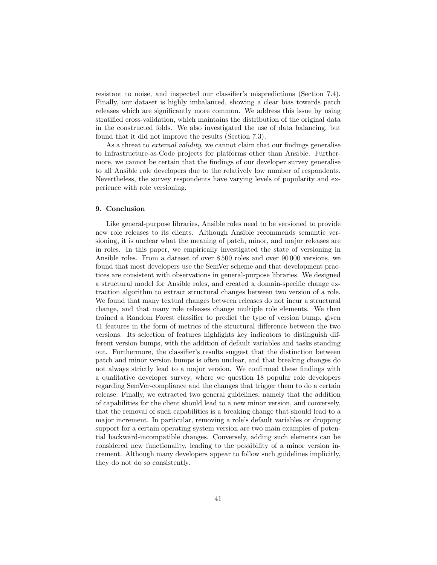resistant to noise, and inspected our classifier's mispredictions (Section 7.4). Finally, our dataset is highly imbalanced, showing a clear bias towards patch releases which are significantly more common. We address this issue by using stratified cross-validation, which maintains the distribution of the original data in the constructed folds. We also investigated the use of data balancing, but found that it did not improve the results (Section 7.3).

As a threat to *external validity*, we cannot claim that our findings generalise to Infrastructure-as-Code projects for platforms other than Ansible. Furthermore, we cannot be certain that the findings of our developer survey generalise to all Ansible role developers due to the relatively low number of respondents. Nevertheless, the survey respondents have varying levels of popularity and experience with role versioning.

# 9. Conclusion

Like general-purpose libraries, Ansible roles need to be versioned to provide new role releases to its clients. Although Ansible recommends semantic versioning, it is unclear what the meaning of patch, minor, and major releases are in roles. In this paper, we empirically investigated the state of versioning in Ansible roles. From a dataset of over 8 500 roles and over 90 000 versions, we found that most developers use the SemVer scheme and that development practices are consistent with observations in general-purpose libraries. We designed a structural model for Ansible roles, and created a domain-specific change extraction algorithm to extract structural changes between two version of a role. We found that many textual changes between releases do not incur a structural change, and that many role releases change multiple role elements. We then trained a Random Forest classifier to predict the type of version bump, given 41 features in the form of metrics of the structural difference between the two versions. Its selection of features highlights key indicators to distinguish different version bumps, with the addition of default variables and tasks standing out. Furthermore, the classifier's results suggest that the distinction between patch and minor version bumps is often unclear, and that breaking changes do not always strictly lead to a major version. We confirmed these findings with a qualitative developer survey, where we question 18 popular role developers regarding SemVer-compliance and the changes that trigger them to do a certain release. Finally, we extracted two general guidelines, namely that the addition of capabilities for the client should lead to a new minor version, and conversely, that the removal of such capabilities is a breaking change that should lead to a major increment. In particular, removing a role's default variables or dropping support for a certain operating system version are two main examples of potential backward-incompatible changes. Conversely, adding such elements can be considered new functionality, leading to the possibility of a minor version increment. Although many developers appear to follow such guidelines implicitly, they do not do so consistently.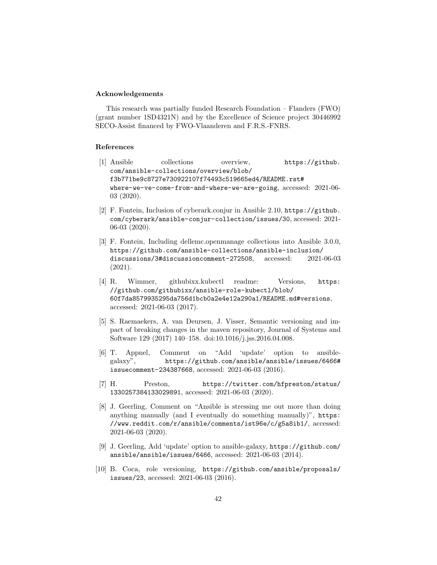# Acknowledgements

This research was partially funded Research Foundation – Flanders (FWO) (grant number 1SD4321N) and by the Excellence of Science project 30446992 SECO-Assist financed by FWO-Vlaanderen and F.R.S.-FNRS.

# References

- [1] Ansible collections overview, https://github. com/ansible-collections/overview/blob/ f3b771be9c8727e730922107f74493c519665ed4/README.rst# where-we-ve-come-from-and-where-we-are-going, accessed: 2021-06- 03 (2020).
- [2] F. Fontein, Inclusion of cyberark.conjur in Ansible 2.10, https://github. com/cyberark/ansible-conjur-collection/issues/30, accessed: 2021- 06-03 (2020).
- [3] F. Fontein, Including dellemc.openmanage collections into Ansible 3.0.0, https://github.com/ansible-collections/ansible-inclusion/ discussions/3#discussioncomment-272508, accessed: 2021-06-03 (2021).
- [4] R. Wimmer, githubixx.kubectl readme: Versions, https: //github.com/githubixx/ansible-role-kubectl/blob/ 60f7da8579935295da756d1bcb0a2e4e12a290a1/README.md#versions, accessed: 2021-06-03 (2017).
- [5] S. Raemaekers, A. van Deursen, J. Visser, Semantic versioning and impact of breaking changes in the maven repository, Journal of Systems and Software 129 (2017) 140–158. doi:10.1016/j.jss.2016.04.008.
- [6] T. Appnel, Comment on "Add 'update' option to ansiblegalaxy", https://github.com/ansible/ansible/issues/6466# issuecomment-234387668, accessed: 2021-06-03 (2016).
- [7] H. Preston, https://twitter.com/hfpreston/status/ 1330257384133029891, accessed: 2021-06-03 (2020).
- [8] J. Geerling, Comment on "Ansible is stressing me out more than doing anything manually (and I eventually do something manually)", https: //www.reddit.com/r/ansible/comments/ist96e/c/g5a8ib1/, accessed: 2021-06-03 (2020).
- [9] J. Geerling, Add 'update' option to ansible-galaxy, https://github.com/ ansible/ansible/issues/6466, accessed: 2021-06-03 (2014).
- [10] B. Coca, role versioning, https://github.com/ansible/proposals/ issues/23, accessed: 2021-06-03 (2016).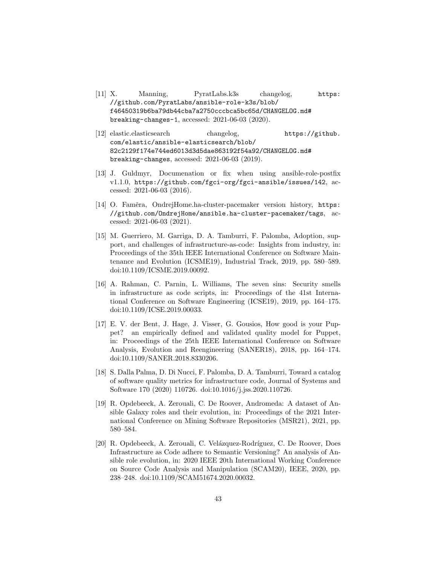- [11] X. Manning, PyratLabs.k3s changelog, https: //github.com/PyratLabs/ansible-role-k3s/blob/ f46450319b6ba79db44cba7a2750cccbca5bc65d/CHANGELOG.md# breaking-changes-1, accessed: 2021-06-03 (2020).
- [12] elastic.elasticsearch changelog, https://github. com/elastic/ansible-elasticsearch/blob/ 82c2129f174e744ed6013d3d5dae863192f54a92/CHANGELOG.md# breaking-changes, accessed: 2021-06-03 (2019).
- [13] J. Guldmyr, Documenation or fix when using ansible-role-postfix v1.1.0, https://github.com/fgci-org/fgci-ansible/issues/142, accessed: 2021-06-03 (2016).
- [14] O. Faměra, OndrejHome.ha-cluster-pacemaker version history, https: //github.com/OndrejHome/ansible.ha-cluster-pacemaker/tags, accessed: 2021-06-03 (2021).
- [15] M. Guerriero, M. Garriga, D. A. Tamburri, F. Palomba, Adoption, support, and challenges of infrastructure-as-code: Insights from industry, in: Proceedings of the 35th IEEE International Conference on Software Maintenance and Evolution (ICSME19), Industrial Track, 2019, pp. 580–589. doi:10.1109/ICSME.2019.00092.
- [16] A. Rahman, C. Parnin, L. Williams, The seven sins: Security smells in infrastructure as code scripts, in: Proceedings of the 41st International Conference on Software Engineering (ICSE19), 2019, pp. 164–175. doi:10.1109/ICSE.2019.00033.
- [17] E. V. der Bent, J. Hage, J. Visser, G. Gousios, How good is your Puppet? an empirically defined and validated quality model for Puppet, in: Proceedings of the 25th IEEE International Conference on Software Analysis, Evolution and Reengineering (SANER18), 2018, pp. 164–174. doi:10.1109/SANER.2018.8330206.
- [18] S. Dalla Palma, D. Di Nucci, F. Palomba, D. A. Tamburri, Toward a catalog of software quality metrics for infrastructure code, Journal of Systems and Software 170 (2020) 110726. doi:10.1016/j.jss.2020.110726.
- [19] R. Opdebeeck, A. Zerouali, C. De Roover, Andromeda: A dataset of Ansible Galaxy roles and their evolution, in: Proceedings of the 2021 International Conference on Mining Software Repositories (MSR21), 2021, pp. 580–584.
- [20] R. Opdebeeck, A. Zerouali, C. Velázquez-Rodríguez, C. De Roover, Does Infrastructure as Code adhere to Semantic Versioning? An analysis of Ansible role evolution, in: 2020 IEEE 20th International Working Conference on Source Code Analysis and Manipulation (SCAM20), IEEE, 2020, pp. 238–248. doi:10.1109/SCAM51674.2020.00032.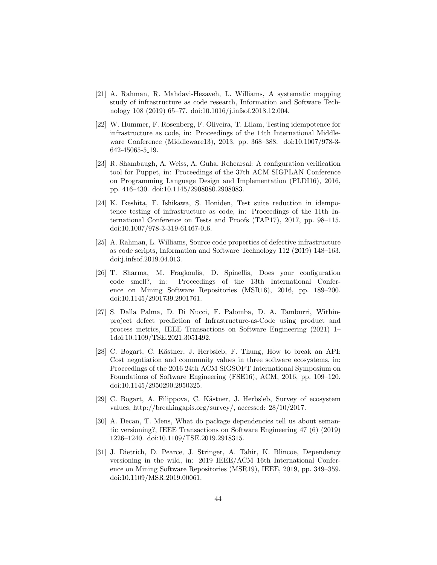- [21] A. Rahman, R. Mahdavi-Hezaveh, L. Williams, A systematic mapping study of infrastructure as code research, Information and Software Technology 108 (2019) 65–77. doi:10.1016/j.infsof.2018.12.004.
- [22] W. Hummer, F. Rosenberg, F. Oliveira, T. Eilam, Testing idempotence for infrastructure as code, in: Proceedings of the 14th International Middleware Conference (Middleware13), 2013, pp. 368–388. doi:10.1007/978-3- 642-45065-5 19.
- [23] R. Shambaugh, A. Weiss, A. Guha, Rehearsal: A configuration verification tool for Puppet, in: Proceedings of the 37th ACM SIGPLAN Conference on Programming Language Design and Implementation (PLDI16), 2016, pp. 416–430. doi:10.1145/2908080.2908083.
- [24] K. Ikeshita, F. Ishikawa, S. Honiden, Test suite reduction in idempotence testing of infrastructure as code, in: Proceedings of the 11th International Conference on Tests and Proofs (TAP17), 2017, pp. 98–115. doi:10.1007/978-3-319-61467-0 6.
- [25] A. Rahman, L. Williams, Source code properties of defective infrastructure as code scripts, Information and Software Technology 112 (2019) 148–163. doi:j.infsof.2019.04.013.
- [26] T. Sharma, M. Fragkoulis, D. Spinellis, Does your configuration code smell?, in: Proceedings of the 13th International Conference on Mining Software Repositories (MSR16), 2016, pp. 189–200. doi:10.1145/2901739.2901761.
- [27] S. Dalla Palma, D. Di Nucci, F. Palomba, D. A. Tamburri, Withinproject defect prediction of Infrastructure-as-Code using product and process metrics, IEEE Transactions on Software Engineering (2021) 1– 1doi:10.1109/TSE.2021.3051492.
- [28] C. Bogart, C. Kästner, J. Herbsleb, F. Thung, How to break an API: Cost negotiation and community values in three software ecosystems, in: Proceedings of the 2016 24th ACM SIGSOFT International Symposium on Foundations of Software Engineering (FSE16), ACM, 2016, pp. 109–120. doi:10.1145/2950290.2950325.
- [29] C. Bogart, A. Filippova, C. Kästner, J. Herbsleb, Survey of ecosystem values, http://breakingapis.org/survey/, accessed: 28/10/2017.
- [30] A. Decan, T. Mens, What do package dependencies tell us about semantic versioning?, IEEE Transactions on Software Engineering 47 (6) (2019) 1226–1240. doi:10.1109/TSE.2019.2918315.
- [31] J. Dietrich, D. Pearce, J. Stringer, A. Tahir, K. Blincoe, Dependency versioning in the wild, in: 2019 IEEE/ACM 16th International Conference on Mining Software Repositories (MSR19), IEEE, 2019, pp. 349–359. doi:10.1109/MSR.2019.00061.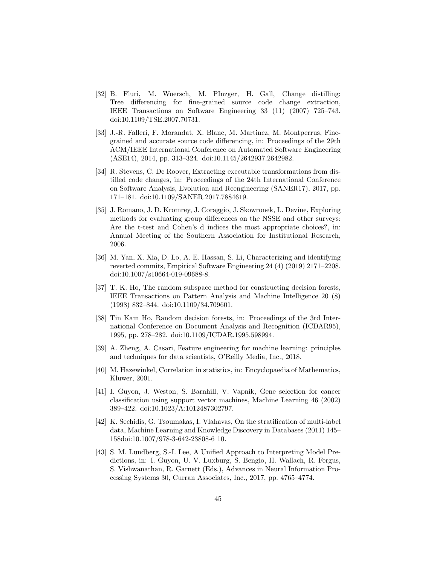- [32] B. Fluri, M. Wuersch, M. PInzger, H. Gall, Change distilling: Tree differencing for fine-grained source code change extraction, IEEE Transactions on Software Engineering 33 (11) (2007) 725–743. doi:10.1109/TSE.2007.70731.
- [33] J.-R. Falleri, F. Morandat, X. Blanc, M. Martinez, M. Montperrus, Finegrained and accurate source code differencing, in: Proceedings of the 29th ACM/IEEE International Conference on Automated Software Engineering (ASE14), 2014, pp. 313–324. doi:10.1145/2642937.2642982.
- [34] R. Stevens, C. De Roover, Extracting executable transformations from distilled code changes, in: Proceedings of the 24th International Conference on Software Analysis, Evolution and Reengineering (SANER17), 2017, pp. 171–181. doi:10.1109/SANER.2017.7884619.
- [35] J. Romano, J. D. Kromrey, J. Coraggio, J. Skowronek, L. Devine, Exploring methods for evaluating group differences on the NSSE and other surveys: Are the t-test and Cohen's d indices the most appropriate choices?, in: Annual Meeting of the Southern Association for Institutional Research, 2006.
- [36] M. Yan, X. Xia, D. Lo, A. E. Hassan, S. Li, Characterizing and identifying reverted commits, Empirical Software Engineering 24 (4) (2019) 2171–2208. doi:10.1007/s10664-019-09688-8.
- [37] T. K. Ho, The random subspace method for constructing decision forests, IEEE Transactions on Pattern Analysis and Machine Intelligence 20 (8) (1998) 832–844. doi:10.1109/34.709601.
- [38] Tin Kam Ho, Random decision forests, in: Proceedings of the 3rd International Conference on Document Analysis and Recognition (ICDAR95), 1995, pp. 278–282. doi:10.1109/ICDAR.1995.598994.
- [39] A. Zheng, A. Casari, Feature engineering for machine learning: principles and techniques for data scientists, O'Reilly Media, Inc., 2018.
- [40] M. Hazewinkel, Correlation in statistics, in: Encyclopaedia of Mathematics, Kluwer, 2001.
- [41] I. Guyon, J. Weston, S. Barnhill, V. Vapnik, Gene selection for cancer classification using support vector machines, Machine Learning 46 (2002) 389–422. doi:10.1023/A:1012487302797.
- [42] K. Sechidis, G. Tsoumakas, I. Vlahavas, On the stratification of multi-label data, Machine Learning and Knowledge Discovery in Databases (2011) 145– 158doi:10.1007/978-3-642-23808-6 10.
- [43] S. M. Lundberg, S.-I. Lee, A Unified Approach to Interpreting Model Predictions, in: I. Guyon, U. V. Luxburg, S. Bengio, H. Wallach, R. Fergus, S. Vishwanathan, R. Garnett (Eds.), Advances in Neural Information Processing Systems 30, Curran Associates, Inc., 2017, pp. 4765–4774.